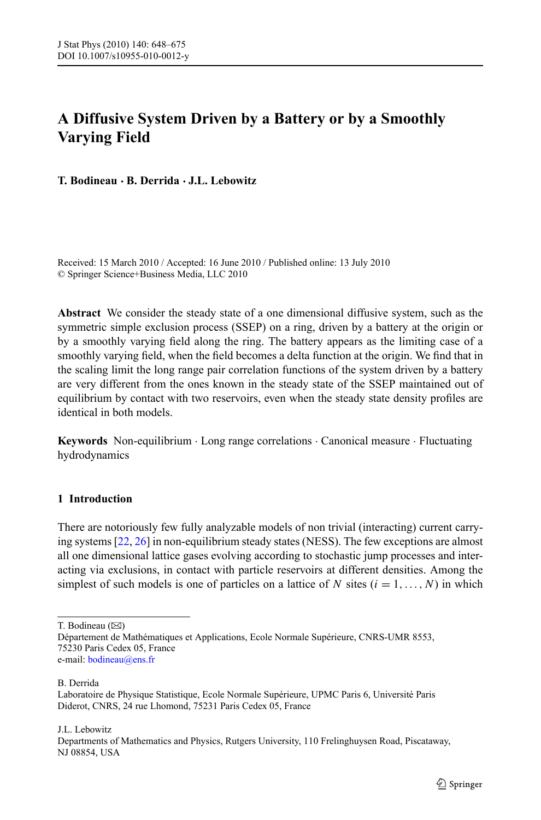# **A Diffusive System Driven by a Battery or by a Smoothly Varying Field**

**T. Bodineau · B. Derrida · J.L. Lebowitz**

Received: 15 March 2010 / Accepted: 16 June 2010 / Published online: 13 July 2010 © Springer Science+Business Media, LLC 2010

**Abstract** We consider the steady state of a one dimensional diffusive system, such as the symmetric simple exclusion process (SSEP) on a ring, driven by a battery at the origin or by a smoothly varying field along the ring. The battery appears as the limiting case of a smoothly varying field, when the field becomes a delta function at the origin. We find that in the scaling limit the long range pair correlation functions of the system driven by a battery are very different from the ones known in the steady state of the SSEP maintained out of equilibrium by contact with two reservoirs, even when the steady state density profiles are identical in both models.

**Keywords** Non-equilibrium · Long range correlations · Canonical measure · Fluctuating hydrodynamics

# **1 Introduction**

There are notoriously few fully analyzable models of non trivial (interacting) current carrying systems [[22](#page-27-0), [26\]](#page-27-0) in non-equilibrium steady states (NESS). The few exceptions are almost all one dimensional lattice gases evolving according to stochastic jump processes and interacting via exclusions, in contact with particle reservoirs at different densities. Among the simplest of such models is one of particles on a lattice of *N* sites  $(i = 1, \ldots, N)$  in which

T. Bodineau ( $\boxtimes$ )

B. Derrida

J.L. Lebowitz

Département de Mathématiques et Applications, Ecole Normale Supérieure, CNRS-UMR 8553, 75230 Paris Cedex 05, France e-mail: [bodineau@ens.fr](mailto:bodineau@ens.fr)

Laboratoire de Physique Statistique, Ecole Normale Supérieure, UPMC Paris 6, Université Paris Diderot, CNRS, 24 rue Lhomond, 75231 Paris Cedex 05, France

Departments of Mathematics and Physics, Rutgers University, 110 Frelinghuysen Road, Piscataway, NJ 08854, USA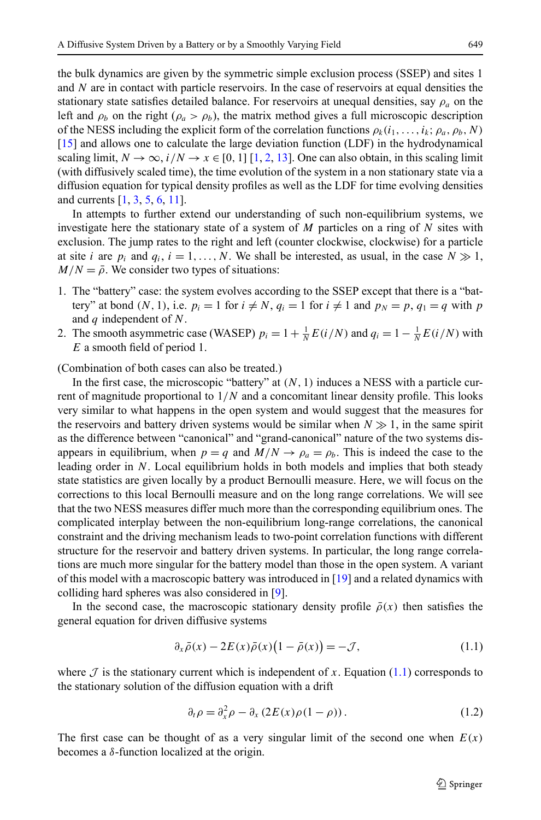the bulk dynamics are given by the symmetric simple exclusion process (SSEP) and sites 1 and *N* are in contact with particle reservoirs. In the case of reservoirs at equal densities the stationary state satisfies detailed balance. For reservoirs at unequal densities, say  $\rho_a$  on the left and  $\rho_b$  on the right ( $\rho_a > \rho_b$ ), the matrix method gives a full microscopic description of the NESS including the explicit form of the correlation functions  $\rho_k(i_1, \ldots, i_k; \rho_a, \rho_b, N)$ [[15](#page-27-0)] and allows one to calculate the large deviation function (LDF) in the hydrodynamical scaling limit,  $N \to \infty$ ,  $i/N \to x \in [0, 1]$  [\[1,](#page-26-0) [2](#page-27-0), [13](#page-27-0)]. One can also obtain, in this scaling limit (with diffusively scaled time), the time evolution of the system in a non stationary state via a diffusion equation for typical density profiles as well as the LDF for time evolving densities and currents [[1,](#page-26-0) [3](#page-27-0), [5,](#page-27-0) [6](#page-27-0), [11](#page-27-0)].

In attempts to further extend our understanding of such non-equilibrium systems, we investigate here the stationary state of a system of *M* particles on a ring of *N* sites with exclusion. The jump rates to the right and left (counter clockwise, clockwise) for a particle at site *i* are  $p_i$  and  $q_i$ ,  $i = 1, ..., N$ . We shall be interested, as usual, in the case  $N \gg 1$ ,  $M/N = \bar{\rho}$ . We consider two types of situations:

- 1. The "battery" case: the system evolves according to the SSEP except that there is a "battery" at bond  $(N, 1)$ , i.e.  $p_i = 1$  for  $i \neq N$ ,  $q_i = 1$  for  $i \neq 1$  and  $p_N = p$ ,  $q_1 = q$  with p and *q* independent of *N*.
- 2. The smooth asymmetric case (WASEP)  $p_i = 1 + \frac{1}{N} E(i/N)$  and  $q_i = 1 \frac{1}{N} E(i/N)$  with *E* a smooth field of period 1.

(Combination of both cases can also be treated.)

In the first case, the microscopic "battery" at *(N,* 1*)* induces a NESS with a particle current of magnitude proportional to 1*/N* and a concomitant linear density profile. This looks very similar to what happens in the open system and would suggest that the measures for the reservoirs and battery driven systems would be similar when  $N \gg 1$ , in the same spirit as the difference between "canonical" and "grand-canonical" nature of the two systems disappears in equilibrium, when  $p = q$  and  $M/N \rightarrow \rho_a = \rho_b$ . This is indeed the case to the leading order in *N*. Local equilibrium holds in both models and implies that both steady state statistics are given locally by a product Bernoulli measure. Here, we will focus on the corrections to this local Bernoulli measure and on the long range correlations. We will see that the two NESS measures differ much more than the corresponding equilibrium ones. The complicated interplay between the non-equilibrium long-range correlations, the canonical constraint and the driving mechanism leads to two-point correlation functions with different structure for the reservoir and battery driven systems. In particular, the long range correlations are much more singular for the battery model than those in the open system. A variant of this model with a macroscopic battery was introduced in [\[19\]](#page-27-0) and a related dynamics with colliding hard spheres was also considered in [[9](#page-27-0)].

In the second case, the macroscopic stationary density profile  $\bar{\rho}(x)$  then satisfies the general equation for driven diffusive systems

$$
\partial_x \bar{\rho}(x) - 2E(x)\bar{\rho}(x)\left(1 - \bar{\rho}(x)\right) = -\mathcal{J},\tag{1.1}
$$

where  $\mathcal J$  is the stationary current which is independent of  $x$ . Equation (1.1) corresponds to the stationary solution of the diffusion equation with a drift

$$
\partial_t \rho = \partial_x^2 \rho - \partial_x (2E(x)\rho(1-\rho)). \tag{1.2}
$$

The first case can be thought of as a very singular limit of the second one when  $E(x)$ becomes a *δ*-function localized at the origin.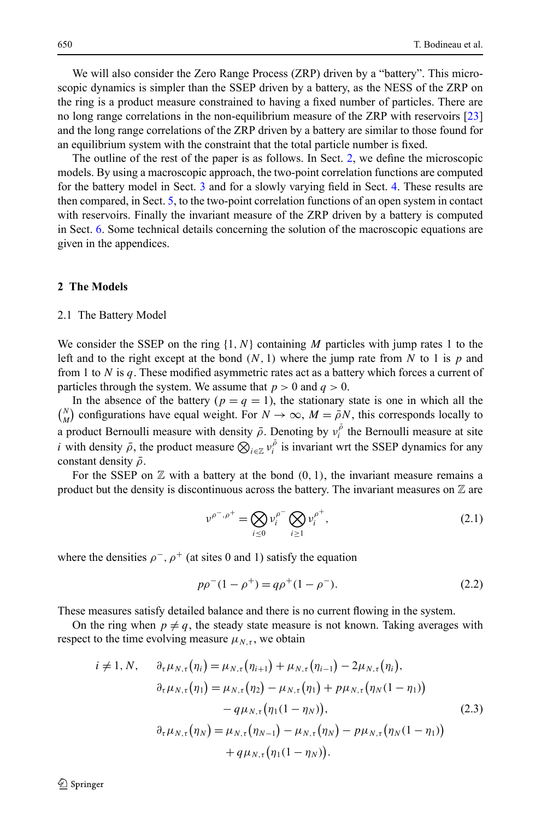<span id="page-2-0"></span>We will also consider the Zero Range Process (ZRP) driven by a "battery". This microscopic dynamics is simpler than the SSEP driven by a battery, as the NESS of the ZRP on the ring is a product measure constrained to having a fixed number of particles. There are no long range correlations in the non-equilibrium measure of the ZRP with reservoirs [[23](#page-27-0)] and the long range correlations of the ZRP driven by a battery are similar to those found for an equilibrium system with the constraint that the total particle number is fixed.

The outline of the rest of the paper is as follows. In Sect. 2, we define the microscopic models. By using a macroscopic approach, the two-point correlation functions are computed for the battery model in Sect. [3](#page-5-0) and for a slowly varying field in Sect. [4.](#page-11-0) These results are then compared, in Sect. [5](#page-16-0), to the two-point correlation functions of an open system in contact with reservoirs. Finally the invariant measure of the ZRP driven by a battery is computed in Sect. [6.](#page-19-0) Some technical details concerning the solution of the macroscopic equations are given in the appendices.

## **2 The Models**

#### 2.1 The Battery Model

We consider the SSEP on the ring {1*,N*} containing *M* particles with jump rates 1 to the left and to the right except at the bond  $(N, 1)$  where the jump rate from N to 1 is p and from 1 to *N* is *q*. These modified asymmetric rates act as a battery which forces a current of particles through the system. We assume that  $p > 0$  and  $q > 0$ .

In the absence of the battery ( $p = q = 1$ ), the stationary state is one in which all the  $\binom{N}{M}$  configurations have equal weight. For  $N \to \infty$ ,  $M = \overline{\rho}N$ , this corresponds locally to a product Bernoulli measure with density  $\bar{\rho}$ . Denoting by  $v_i^{\bar{\rho}}$  the Bernoulli measure at site *i* with density  $\bar{\rho}$ , the product measure  $\bigotimes_{i \in \mathbb{Z}} v_i^{\bar{\rho}}$  is invariant wrt the SSEP dynamics for any constant density *ρ*¯.

For the SSEP on  $\mathbb Z$  with a battery at the bond  $(0, 1)$ , the invariant measure remains a product but the density is discontinuous across the battery. The invariant measures on  $\mathbb Z$  are

$$
\nu^{\rho^-,\rho^+} = \bigotimes_{i \le 0} \nu_i^{\rho^-} \bigotimes_{i \ge 1} \nu_i^{\rho^+},\tag{2.1}
$$

where the densities  $\rho^-$ ,  $\rho^+$  (at sites 0 and 1) satisfy the equation

$$
p\rho^{-}(1-\rho^{+}) = q\rho^{+}(1-\rho^{-}).
$$
\n(2.2)

These measures satisfy detailed balance and there is no current flowing in the system.

On the ring when  $p \neq q$ , the steady state measure is not known. Taking averages with respect to the time evolving measure  $\mu_{N,\tau}$ , we obtain

$$
i \neq 1, N, \quad \partial_{\tau} \mu_{N,\tau}(\eta_i) = \mu_{N,\tau}(\eta_{i+1}) + \mu_{N,\tau}(\eta_{i-1}) - 2\mu_{N,\tau}(\eta_i),
$$
  
\n
$$
\partial_{\tau} \mu_{N,\tau}(\eta_1) = \mu_{N,\tau}(\eta_2) - \mu_{N,\tau}(\eta_1) + p\mu_{N,\tau}(\eta_N(1 - \eta_1))
$$
  
\n
$$
- q\mu_{N,\tau}(\eta_1(1 - \eta_N)),
$$
  
\n
$$
\partial_{\tau} \mu_{N,\tau}(\eta_N) = \mu_{N,\tau}(\eta_{N-1}) - \mu_{N,\tau}(\eta_N) - p\mu_{N,\tau}(\eta_N(1 - \eta_1))
$$
  
\n
$$
+ q\mu_{N,\tau}(\eta_1(1 - \eta_N)).
$$
\n(2.3)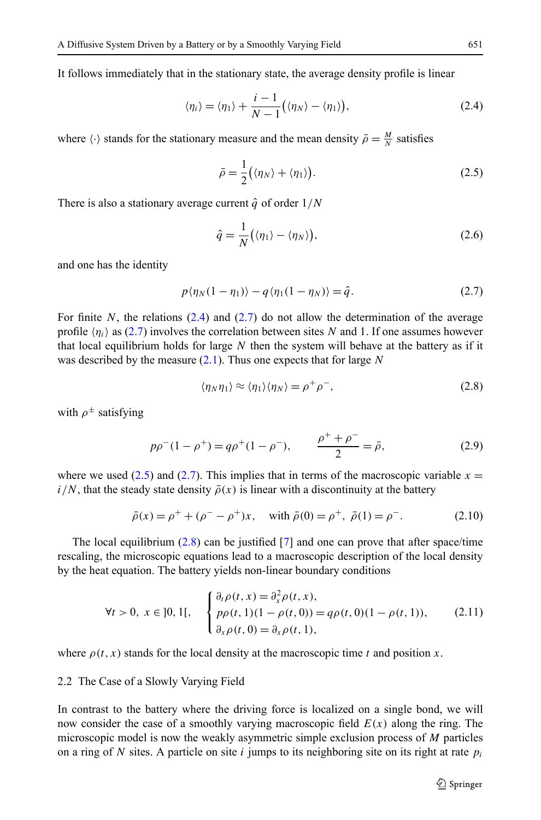<span id="page-3-0"></span>It follows immediately that in the stationary state, the average density profile is linear

$$
\langle \eta_i \rangle = \langle \eta_1 \rangle + \frac{i-1}{N-1} \big( \langle \eta_N \rangle - \langle \eta_1 \rangle \big), \tag{2.4}
$$

where  $\langle \cdot \rangle$  stands for the stationary measure and the mean density  $\bar{\rho} = \frac{M}{N}$  satisfies

$$
\bar{\rho} = \frac{1}{2} \big( \langle \eta_N \rangle + \langle \eta_1 \rangle \big). \tag{2.5}
$$

There is also a stationary average current  $\hat{q}$  of order  $1/N$ 

$$
\hat{q} = \frac{1}{N} \big( \langle \eta_1 \rangle - \langle \eta_N \rangle \big),\tag{2.6}
$$

and one has the identity

$$
p\langle \eta_N(1-\eta_1)\rangle - q\langle \eta_1(1-\eta_N)\rangle = \hat{q}.\tag{2.7}
$$

For finite N, the relations  $(2.4)$  and  $(2.7)$  do not allow the determination of the average profile  $\langle \eta_i \rangle$  as (2.7) involves the correlation between sites *N* and 1. If one assumes however that local equilibrium holds for large *N* then the system will behave at the battery as if it was described by the measure [\(2.1](#page-2-0)). Thus one expects that for large *N*

$$
\langle \eta_N \eta_1 \rangle \approx \langle \eta_1 \rangle \langle \eta_N \rangle = \rho^+ \rho^-, \tag{2.8}
$$

with  $\rho^{\pm}$  satisfying

$$
p\rho^{-}(1-\rho^{+}) = q\rho^{+}(1-\rho^{-}), \qquad \frac{\rho^{+}+\rho^{-}}{2} = \bar{\rho}, \qquad (2.9)
$$

where we used  $(2.5)$  and  $(2.7)$ . This implies that in terms of the macroscopic variable  $x =$  $i/N$ , that the steady state density  $\bar{\rho}(x)$  is linear with a discontinuity at the battery

$$
\bar{\rho}(x) = \rho^+ + (\rho^- - \rho^+)x, \quad \text{with } \bar{\rho}(0) = \rho^+, \ \bar{\rho}(1) = \rho^-. \tag{2.10}
$$

The local equilibrium  $(2.8)$  can be justified [\[7](#page-27-0)] and one can prove that after space/time rescaling, the microscopic equations lead to a macroscopic description of the local density by the heat equation. The battery yields non-linear boundary conditions

$$
\forall t > 0, \ x \in [0, 1[, \quad \begin{cases} \partial_t \rho(t, x) = \partial_x^2 \rho(t, x), \\ p \rho(t, 1)(1 - \rho(t, 0)) = q \rho(t, 0)(1 - \rho(t, 1)), \\ \partial_x \rho(t, 0) = \partial_x \rho(t, 1), \end{cases} (2.11)
$$

where  $\rho(t, x)$  stands for the local density at the macroscopic time *t* and position *x*.

#### 2.2 The Case of a Slowly Varying Field

In contrast to the battery where the driving force is localized on a single bond, we will now consider the case of a smoothly varying macroscopic field *E(x)* along the ring. The microscopic model is now the weakly asymmetric simple exclusion process of *M* particles on a ring of *N* sites. A particle on site *i* jumps to its neighboring site on its right at rate  $p_i$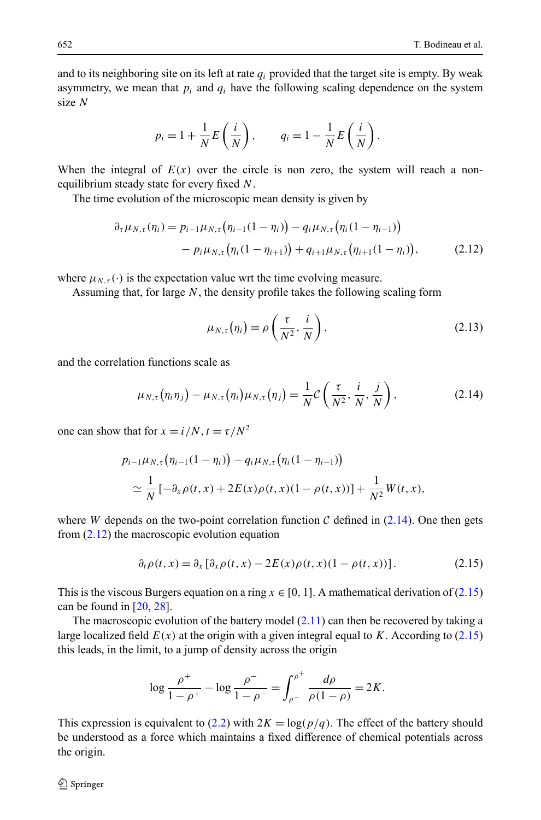and to its neighboring site on its left at rate  $q_i$  provided that the target site is empty. By weak asymmetry, we mean that  $p_i$  and  $q_i$  have the following scaling dependence on the system size *N*

$$
p_i = 1 + \frac{1}{N} E\left(\frac{i}{N}\right), \qquad q_i = 1 - \frac{1}{N} E\left(\frac{i}{N}\right).
$$

When the integral of  $E(x)$  over the circle is non zero, the system will reach a nonequilibrium steady state for every fixed *N*.

The time evolution of the microscopic mean density is given by

$$
\partial_{\tau} \mu_{N,\tau}(\eta_i) = p_{i-1} \mu_{N,\tau}(\eta_{i-1}(1-\eta_i)) - q_i \mu_{N,\tau}(\eta_i(1-\eta_{i-1})) - p_i \mu_{N,\tau}(\eta_i(1-\eta_{i+1})) + q_{i+1} \mu_{N,\tau}(\eta_{i+1}(1-\eta_i)), \qquad (2.12)
$$

where  $\mu_{N,\tau}(\cdot)$  is the expectation value wrt the time evolving measure.

Assuming that, for large *N*, the density profile takes the following scaling form

$$
\mu_{N,\tau}(\eta_i) = \rho\left(\frac{\tau}{N^2}, \frac{i}{N}\right),\tag{2.13}
$$

and the correlation functions scale as

$$
\mu_{N,\tau}(\eta_i \eta_j) - \mu_{N,\tau}(\eta_i) \mu_{N,\tau}(\eta_j) = \frac{1}{N} C\left(\frac{\tau}{N^2}, \frac{i}{N}, \frac{j}{N}\right), \qquad (2.14)
$$

one can show that for  $x = i/N$ ,  $t = \tau/N^2$ 

$$
p_{i-1}\mu_{N,\tau}(\eta_{i-1}(1-\eta_i)) - q_i\mu_{N,\tau}(\eta_i(1-\eta_{i-1}))
$$
  
\n
$$
\simeq \frac{1}{N}\left[-\partial_x \rho(t,x) + 2E(x)\rho(t,x)(1-\rho(t,x))\right] + \frac{1}{N^2}W(t,x),
$$

where *W* depends on the two-point correlation function C defined in  $(2.14)$ . One then gets from (2.12) the macroscopic evolution equation

$$
\partial_t \rho(t, x) = \partial_x [\partial_x \rho(t, x) - 2E(x)\rho(t, x)(1 - \rho(t, x))]. \tag{2.15}
$$

This is the viscous Burgers equation on a ring  $x \in [0, 1]$ . A mathematical derivation of (2.15) can be found in [[20](#page-27-0), [28\]](#page-27-0).

The macroscopic evolution of the battery model  $(2.11)$  $(2.11)$  $(2.11)$  can then be recovered by taking a large localized field  $E(x)$  at the origin with a given integral equal to *K*. According to (2.15) this leads, in the limit, to a jump of density across the origin

$$
\log \frac{\rho^+}{1-\rho^+} - \log \frac{\rho^-}{1-\rho^-} = \int_{\rho^-}^{\rho^+} \frac{d\rho}{\rho(1-\rho)} = 2K.
$$

This expression is equivalent to [\(2.2\)](#page-2-0) with  $2K = \log(p/q)$ . The effect of the battery should be understood as a force which maintains a fixed difference of chemical potentials across the origin.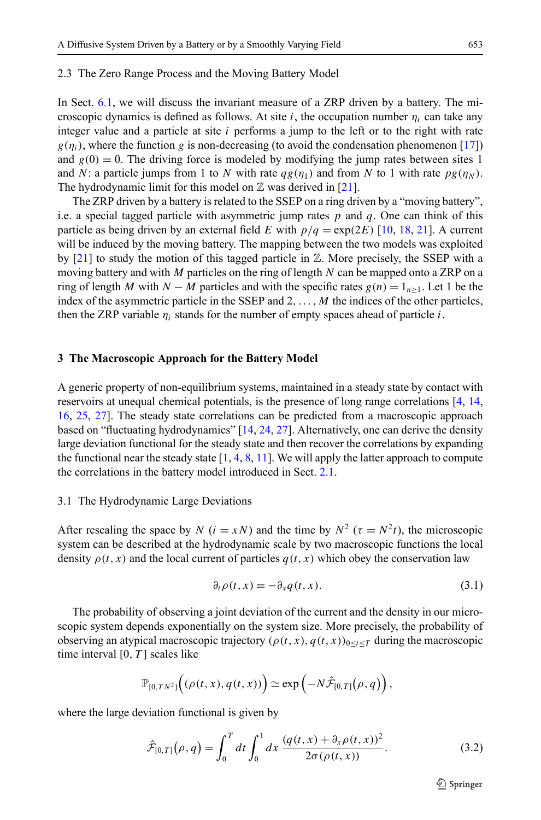#### <span id="page-5-0"></span>2.3 The Zero Range Process and the Moving Battery Model

In Sect. [6.1](#page-19-0), we will discuss the invariant measure of a ZRP driven by a battery. The microscopic dynamics is defined as follows. At site *i*, the occupation number  $\eta_i$  can take any integer value and a particle at site *i* performs a jump to the left or to the right with rate  $g(\eta_i)$ , where the function *g* is non-decreasing (to avoid the condensation phenomenon [[17](#page-27-0)]) and  $g(0) = 0$ . The driving force is modeled by modifying the jump rates between sites 1 and *N*: a particle jumps from 1 to *N* with rate  $qg(\eta_1)$  and from *N* to 1 with rate  $pg(\eta_N)$ . The hydrodynamic limit for this model on  $\mathbb Z$  was derived in [[21](#page-27-0)].

The ZRP driven by a battery is related to the SSEP on a ring driven by a "moving battery", i.e. a special tagged particle with asymmetric jump rates *p* and *q*. One can think of this particle as being driven by an external field *E* with  $p/q = \exp(2E)$  [[10](#page-27-0), [18,](#page-27-0) [21](#page-27-0)]. A current will be induced by the moving battery. The mapping between the two models was exploited by [[21\]](#page-27-0) to study the motion of this tagged particle in  $\mathbb Z$ . More precisely, the SSEP with a moving battery and with *M* particles on the ring of length *N* can be mapped onto a ZRP on a ring of length *M* with *N* − *M* particles and with the specific rates  $g(n) = 1_{n>1}$ . Let 1 be the index of the asymmetric particle in the SSEP and 2, ..., M the indices of the other particles, then the ZRP variable  $\eta_i$  stands for the number of empty spaces ahead of particle *i*.

#### **3 The Macroscopic Approach for the Battery Model**

A generic property of non-equilibrium systems, maintained in a steady state by contact with reservoirs at unequal chemical potentials, is the presence of long range correlations [[4,](#page-27-0) [14](#page-27-0), [16](#page-27-0), [25](#page-27-0), [27\]](#page-27-0). The steady state correlations can be predicted from a macroscopic approach based on "fluctuating hydrodynamics" [[14](#page-27-0), [24](#page-27-0), [27](#page-27-0)]. Alternatively, one can derive the density large deviation functional for the steady state and then recover the correlations by expanding the functional near the steady state  $[1, 4, 8, 11]$  $[1, 4, 8, 11]$  $[1, 4, 8, 11]$  $[1, 4, 8, 11]$  $[1, 4, 8, 11]$  $[1, 4, 8, 11]$  $[1, 4, 8, 11]$ . We will apply the latter approach to compute the correlations in the battery model introduced in Sect. [2.1.](#page-2-0)

## 3.1 The Hydrodynamic Large Deviations

After rescaling the space by *N* ( $i = xN$ ) and the time by  $N^2$  ( $\tau = N^2t$ ), the microscopic system can be described at the hydrodynamic scale by two macroscopic functions the local density  $\rho(t, x)$  and the local current of particles  $q(t, x)$  which obey the conservation law

$$
\partial_t \rho(t, x) = -\partial_x q(t, x). \tag{3.1}
$$

The probability of observing a joint deviation of the current and the density in our microscopic system depends exponentially on the system size. More precisely, the probability of observing an atypical macroscopic trajectory  $(\rho(t, x), q(t, x))_{0 \le t \le T}$  during the macroscopic time interval [0*,T* ] scales like

$$
\mathbb{P}_{[0,TN^2]}\Big((\rho(t,x),q(t,x))\Big)\simeq \exp\Big({-N\hat{\mathcal{F}}_{[0,T]}}(\rho,q)\Big),\,
$$

where the large deviation functional is given by

$$
\hat{\mathcal{F}}_{[0,T]}(\rho,q) = \int_0^T dt \int_0^1 dx \, \frac{(q(t,x) + \partial_x \rho(t,x))^2}{2\sigma(\rho(t,x))}.
$$
\n(3.2)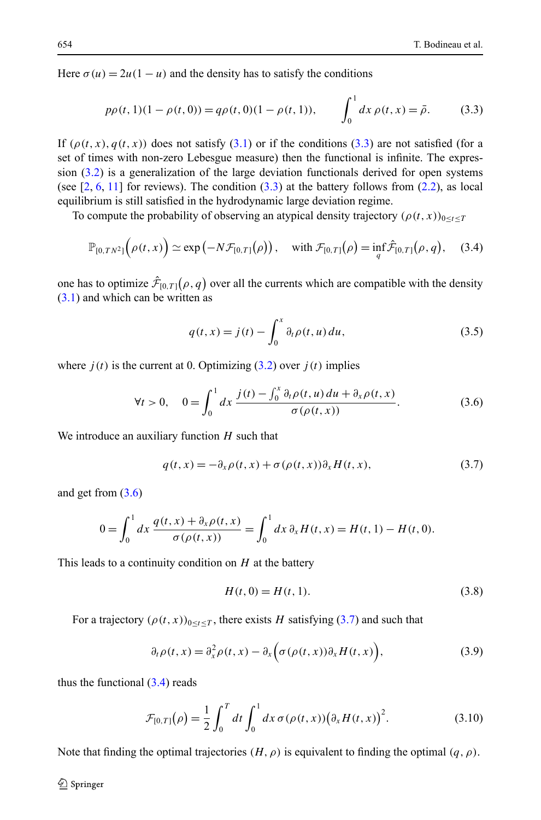<span id="page-6-0"></span>Here  $\sigma(u) = 2u(1-u)$  and the density has to satisfy the conditions

$$
p\rho(t,1)(1-\rho(t,0)) = q\rho(t,0)(1-\rho(t,1)), \qquad \int_0^1 dx \,\rho(t,x) = \bar{\rho}.\tag{3.3}
$$

If  $(\rho(t, x), q(t, x))$  does not satisfy ([3.1\)](#page-5-0) or if the conditions (3.3) are not satisfied (for a set of times with non-zero Lebesgue measure) then the functional is infinite. The expression [\(3.2](#page-5-0)) is a generalization of the large deviation functionals derived for open systems (see  $[2, 6, 11]$  $[2, 6, 11]$  $[2, 6, 11]$  $[2, 6, 11]$  $[2, 6, 11]$  for reviews). The condition  $(3.3)$  at the battery follows from  $(2.2)$  $(2.2)$  $(2.2)$ , as local equilibrium is still satisfied in the hydrodynamic large deviation regime.

To compute the probability of observing an atypical density trajectory  $(\rho(t, x))_{0 \le t \le T}$ 

$$
\mathbb{P}_{[0,TN^2]}(\rho(t,x)) \simeq \exp(-N\mathcal{F}_{[0,T]}(\rho)), \quad \text{with } \mathcal{F}_{[0,T]}(\rho) = \inf_{q} \hat{\mathcal{F}}_{[0,T]}(\rho,q), \quad (3.4)
$$

one has to optimize  $\hat{\mathcal{F}}_{[0,T]}(\rho,q)$  over all the currents which are compatible with the density ([3.1\)](#page-5-0) and which can be written as

$$
q(t,x) = j(t) - \int_0^x \partial_t \rho(t,u) \, du,\tag{3.5}
$$

where  $j(t)$  is the current at 0. Optimizing  $(3.2)$  $(3.2)$  over  $j(t)$  implies

$$
\forall t > 0, \quad 0 = \int_0^1 dx \, \frac{j(t) - \int_0^x \partial_t \rho(t, u) \, du + \partial_x \rho(t, x)}{\sigma(\rho(t, x))}.
$$
 (3.6)

We introduce an auxiliary function *H* such that

$$
q(t,x) = -\partial_x \rho(t,x) + \sigma(\rho(t,x))\partial_x H(t,x),
$$
\n(3.7)

and get from  $(3.6)$ 

$$
0 = \int_0^1 dx \, \frac{q(t,x) + \partial_x \rho(t,x)}{\sigma(\rho(t,x))} = \int_0^1 dx \, \partial_x H(t,x) = H(t,1) - H(t,0).
$$

This leads to a continuity condition on *H* at the battery

$$
H(t,0) = H(t,1).
$$
\n(3.8)

For a trajectory  $(\rho(t, x))_{0 \le t \le T}$ , there exists *H* satisfying (3.7) and such that

$$
\partial_t \rho(t, x) = \partial_x^2 \rho(t, x) - \partial_x \Big( \sigma(\rho(t, x)) \partial_x H(t, x) \Big), \tag{3.9}
$$

thus the functional  $(3.4)$  reads

$$
\mathcal{F}_{[0,T]}(\rho) = \frac{1}{2} \int_0^T dt \int_0^1 dx \,\sigma(\rho(t,x)) (\partial_x H(t,x))^2.
$$
 (3.10)

Note that finding the optimal trajectories  $(H, \rho)$  is equivalent to finding the optimal  $(q, \rho)$ .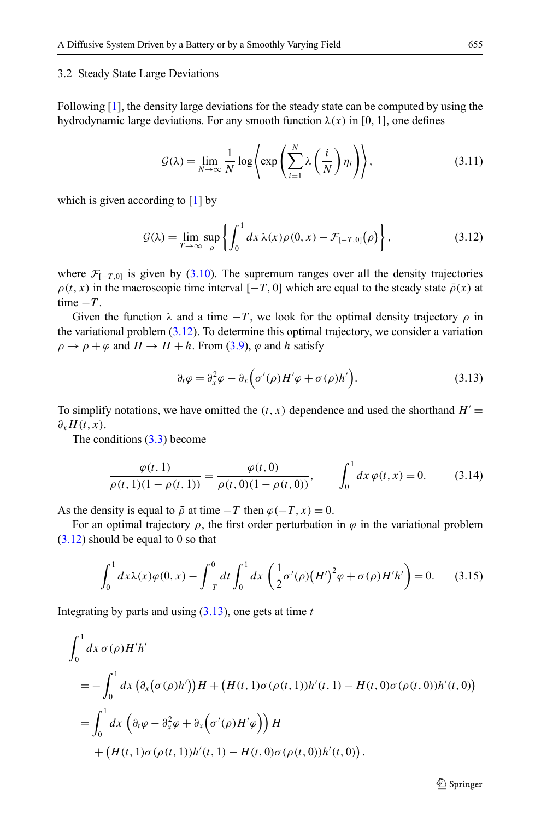## <span id="page-7-0"></span>3.2 Steady State Large Deviations

Following [[1](#page-26-0)], the density large deviations for the steady state can be computed by using the hydrodynamic large deviations. For any smooth function  $\lambda(x)$  in [0, 1], one defines

$$
\mathcal{G}(\lambda) = \lim_{N \to \infty} \frac{1}{N} \log \left\{ \exp \left( \sum_{i=1}^{N} \lambda \left( \frac{i}{N} \right) \eta_i \right) \right\},\tag{3.11}
$$

which is given according to  $[1]$  $[1]$  $[1]$  by

$$
\mathcal{G}(\lambda) = \lim_{T \to \infty} \sup_{\rho} \left\{ \int_0^1 dx \, \lambda(x) \rho(0, x) - \mathcal{F}_{[-T, 0]}(\rho) \right\},\tag{3.12}
$$

where  $\mathcal{F}_{[-T,0]}$  is given by [\(3.10](#page-6-0)). The supremum ranges over all the density trajectories  $\rho(t, x)$  in the macroscopic time interval  $[-T, 0]$  which are equal to the steady state  $\bar{\rho}(x)$  at time  $-T$ .

Given the function  $\lambda$  and a time  $-T$ , we look for the optimal density trajectory  $\rho$  in the variational problem  $(3.12)$ . To determine this optimal trajectory, we consider a variation  $\rho \rightarrow \rho + \varphi$  and  $H \rightarrow H + h$ . From ([3.9\)](#page-6-0),  $\varphi$  and *h* satisfy

$$
\partial_t \varphi = \partial_x^2 \varphi - \partial_x \Big( \sigma'(\rho) H' \varphi + \sigma(\rho) h' \Big). \tag{3.13}
$$

To simplify notations, we have omitted the  $(t, x)$  dependence and used the shorthand  $H' =$ *∂xH(t,x)*.

The conditions ([3.3\)](#page-6-0) become

$$
\frac{\varphi(t,1)}{\rho(t,1)(1-\rho(t,1))} = \frac{\varphi(t,0)}{\rho(t,0)(1-\rho(t,0))}, \qquad \int_0^1 dx \,\varphi(t,x) = 0.
$$
 (3.14)

As the density is equal to  $\bar{\rho}$  at time  $-T$  then  $\varphi(-T, x) = 0$ .

For an optimal trajectory  $\rho$ , the first order perturbation in  $\varphi$  in the variational problem  $(3.12)$  should be equal to 0 so that

$$
\int_0^1 dx \lambda(x)\varphi(0, x) - \int_{-T}^0 dt \int_0^1 dx \left(\frac{1}{2}\sigma'(\rho)(H')^2 \varphi + \sigma(\rho)H'h'\right) = 0. \tag{3.15}
$$

Integrating by parts and using (3.13), one gets at time *t*

$$
\int_0^1 dx \,\sigma(\rho) H'h'
$$
  
=  $-\int_0^1 dx \left(\partial_x (\sigma(\rho)h'))H + (H(t, 1)\sigma(\rho(t, 1))h'(t, 1) - H(t, 0)\sigma(\rho(t, 0))h'(t, 0)\right)$   
=  $\int_0^1 dx \left(\partial_t \varphi - \partial_x^2 \varphi + \partial_x \left(\sigma'(\rho)H'\varphi\right)\right)H$   
+  $(H(t, 1)\sigma(\rho(t, 1))h'(t, 1) - H(t, 0)\sigma(\rho(t, 0))h'(t, 0)).$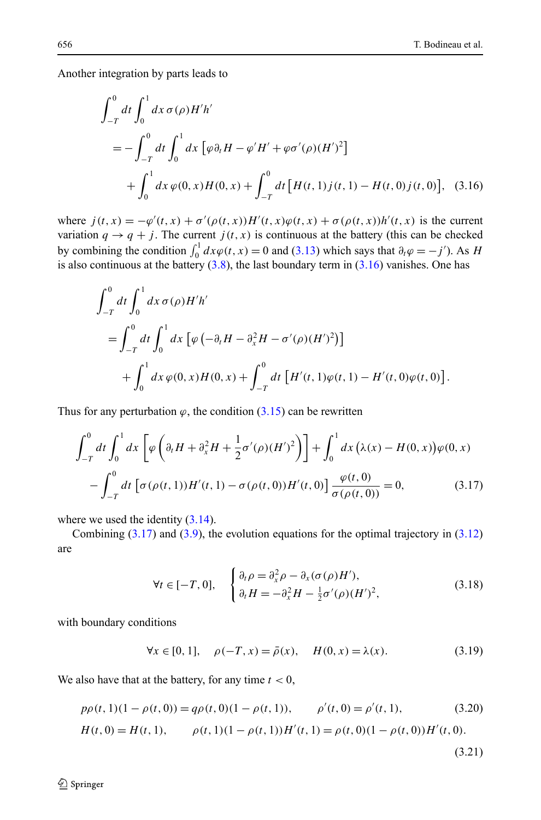<span id="page-8-0"></span>Another integration by parts leads to

$$
\int_{-T}^{0} dt \int_{0}^{1} dx \,\sigma(\rho) H'h'
$$
  
=  $-\int_{-T}^{0} dt \int_{0}^{1} dx \left[ \varphi \partial_{t} H - \varphi' H' + \varphi \sigma'(\rho) (H')^{2} \right]$   
+  $\int_{0}^{1} dx \,\varphi(0, x) H(0, x) + \int_{-T}^{0} dt \left[ H(t, 1) j(t, 1) - H(t, 0) j(t, 0) \right],$  (3.16)

where  $j(t, x) = -\varphi'(t, x) + \sigma'(\rho(t, x))H'(t, x)\varphi(t, x) + \sigma(\rho(t, x))h'(t, x)$  is the current variation  $q \rightarrow q + j$ . The current  $j(t, x)$  is continuous at the battery (this can be checked by combining the condition  $\int_0^1 dx \varphi(t, x) = 0$  and [\(3.13\)](#page-7-0) which says that  $\partial_t \varphi = -j'$ ). As *H* is also continuous at the battery  $(3.8)$  $(3.8)$ , the last boundary term in  $(3.16)$  vanishes. One has

$$
\int_{-T}^{0} dt \int_{0}^{1} dx \,\sigma(\rho) H'h'
$$
  
= 
$$
\int_{-T}^{0} dt \int_{0}^{1} dx \, [\varphi(-\partial_{t}H - \partial_{x}^{2}H - \sigma'(\rho)(H')^{2})]
$$
  
+ 
$$
\int_{0}^{1} dx \,\varphi(0, x) H(0, x) + \int_{-T}^{0} dt \, [H'(t, 1)\varphi(t, 1) - H'(t, 0)\varphi(t, 0)].
$$

Thus for any perturbation  $\varphi$ , the condition  $(3.15)$  $(3.15)$  can be rewritten

$$
\int_{-T}^{0} dt \int_{0}^{1} dx \left[ \varphi \left( \partial_{t} H + \partial_{x}^{2} H + \frac{1}{2} \sigma'(\rho) (H')^{2} \right) \right] + \int_{0}^{1} dx \left( \lambda(x) - H(0, x) \right) \varphi(0, x)
$$

$$
- \int_{-T}^{0} dt \left[ \sigma (\rho(t, 1)) H'(t, 1) - \sigma (\rho(t, 0)) H'(t, 0) \right] \frac{\varphi(t, 0)}{\sigma(\rho(t, 0))} = 0, \tag{3.17}
$$

where we used the identity  $(3.14)$  $(3.14)$  $(3.14)$ .

Combining  $(3.17)$  and  $(3.9)$  $(3.9)$ , the evolution equations for the optimal trajectory in  $(3.12)$  $(3.12)$  $(3.12)$ are

$$
\forall t \in [-T, 0], \quad \begin{cases} \partial_t \rho = \partial_x^2 \rho - \partial_x (\sigma(\rho) H'), \\ \partial_t H = -\partial_x^2 H - \frac{1}{2} \sigma'(\rho) (H')^2, \end{cases} \tag{3.18}
$$

with boundary conditions

$$
\forall x \in [0, 1], \quad \rho(-T, x) = \bar{\rho}(x), \quad H(0, x) = \lambda(x). \tag{3.19}
$$

We also have that at the battery, for any time  $t < 0$ ,

$$
p\rho(t,1)(1-\rho(t,0)) = q\rho(t,0)(1-\rho(t,1)), \qquad \rho'(t,0) = \rho'(t,1), \tag{3.20}
$$

$$
H(t,0) = H(t,1), \qquad \rho(t,1)(1-\rho(t,1))H'(t,1) = \rho(t,0)(1-\rho(t,0))H'(t,0).
$$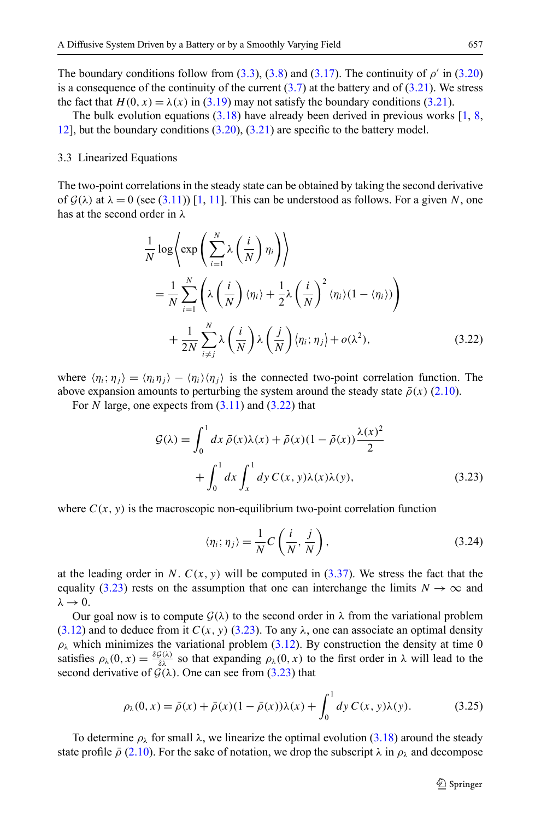<span id="page-9-0"></span>The boundary conditions follow from ([3.3](#page-6-0)), ([3.8\)](#page-6-0) and ([3.17](#page-8-0)). The continuity of  $\rho'$  in ([3.20](#page-8-0)) is a consequence of the continuity of the current  $(3.7)$  $(3.7)$  at the battery and of  $(3.21)$ . We stress the fact that  $H(0, x) = \lambda(x)$  in [\(3.19\)](#page-8-0) may not satisfy the boundary conditions [\(3.21](#page-8-0)).

The bulk evolution equations  $(3.18)$  have already been derived in previous works  $[1, 8]$  $[1, 8]$  $[1, 8]$  $[1, 8]$  $[1, 8]$ , [12](#page-27-0)], but the boundary conditions [\(3.20](#page-8-0)), [\(3.21\)](#page-8-0) are specific to the battery model.

#### 3.3 Linearized Equations

The two-point correlations in the steady state can be obtained by taking the second derivative of  $\mathcal{G}(\lambda)$  at  $\lambda = 0$  (see ([3.11](#page-7-0))) [\[1,](#page-26-0) [11](#page-27-0)]. This can be understood as follows. For a given *N*, one has at the second order in *λ*

$$
\frac{1}{N} \log \left\langle \exp \left( \sum_{i=1}^{N} \lambda \left( \frac{i}{N} \right) \eta_i \right) \right\rangle
$$
\n
$$
= \frac{1}{N} \sum_{i=1}^{N} \left( \lambda \left( \frac{i}{N} \right) \langle \eta_i \rangle + \frac{1}{2} \lambda \left( \frac{i}{N} \right)^2 \langle \eta_i \rangle (1 - \langle \eta_i \rangle) \right)
$$
\n
$$
+ \frac{1}{2N} \sum_{i \neq j}^{N} \lambda \left( \frac{i}{N} \right) \lambda \left( \frac{j}{N} \right) \langle \eta_i; \eta_j \rangle + o(\lambda^2), \tag{3.22}
$$

where  $\langle \eta_i; \eta_j \rangle = \langle \eta_i \eta_j \rangle - \langle \eta_i \rangle \langle \eta_j \rangle$  is the connected two-point correlation function. The above expansion amounts to perturbing the system around the steady state  $\bar{\rho}(x)$  [\(2.10\)](#page-3-0).

For *N* large, one expects from  $(3.11)$  $(3.11)$  $(3.11)$  and  $(3.22)$  that

$$
\mathcal{G}(\lambda) = \int_0^1 dx \,\bar{\rho}(x)\lambda(x) + \bar{\rho}(x)(1 - \bar{\rho}(x))\frac{\lambda(x)^2}{2} + \int_0^1 dx \int_x^1 dy \, C(x, y)\lambda(x)\lambda(y), \tag{3.23}
$$

where  $C(x, y)$  is the macroscopic non-equilibrium two-point correlation function

$$
\langle \eta_i; \eta_j \rangle = \frac{1}{N} C\left(\frac{i}{N}, \frac{j}{N}\right),\tag{3.24}
$$

at the leading order in *N*.  $C(x, y)$  will be computed in  $(3.37)$  $(3.37)$  $(3.37)$ . We stress the fact that the equality (3.23) rests on the assumption that one can interchange the limits  $N \to \infty$  and  $λ \rightarrow 0$ .

Our goal now is to compute  $\mathcal{G}(\lambda)$  to the second order in  $\lambda$  from the variational problem  $(3.12)$  $(3.12)$  and to deduce from it  $C(x, y)$  (3.23). To any  $\lambda$ , one can associate an optimal density  $\rho_{\lambda}$  which minimizes the variational problem ([3.12](#page-7-0)). By construction the density at time 0 satisfies  $\rho_{\lambda}(0, x) = \frac{\delta \mathcal{G}(\lambda)}{\delta \lambda}$  so that expanding  $\rho_{\lambda}(0, x)$  to the first order in  $\lambda$  will lead to the second derivative of  $G(\lambda)$ . One can see from  $(3.23)$  that

$$
\rho_{\lambda}(0, x) = \bar{\rho}(x) + \bar{\rho}(x)(1 - \bar{\rho}(x))\lambda(x) + \int_0^1 dy C(x, y)\lambda(y).
$$
 (3.25)

To determine *ρλ* for small *λ*, we linearize the optimal evolution ([3.18](#page-8-0)) around the steady state profile  $\bar{\rho}$  ([2.10](#page-3-0)). For the sake of notation, we drop the subscript  $\lambda$  in  $\rho_{\lambda}$  and decompose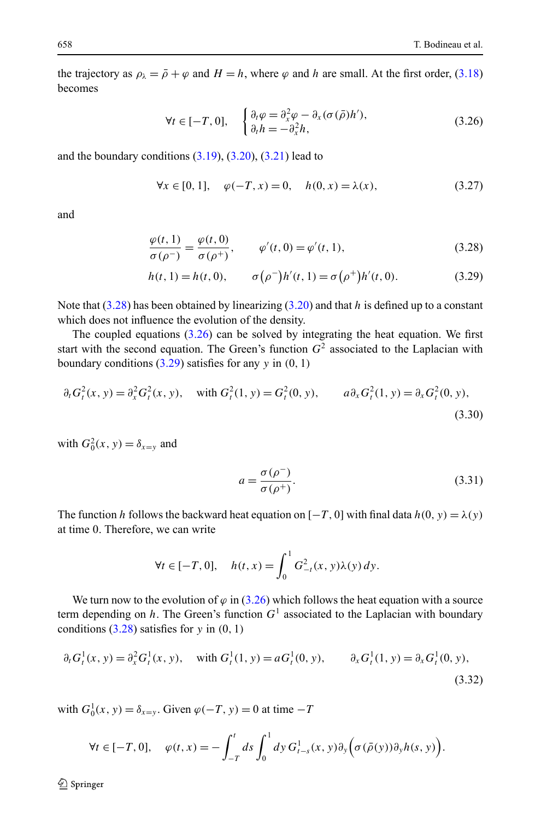<span id="page-10-0"></span>the trajectory as  $\rho_{\lambda} = \bar{\rho} + \varphi$  and  $H = h$ , where  $\varphi$  and *h* are small. At the first order, ([3.18](#page-8-0)) becomes

$$
\forall t \in [-T, 0], \quad \begin{cases} \partial_t \varphi = \partial_x^2 \varphi - \partial_x (\sigma(\bar{\rho}) h'), \\ \partial_t h = -\partial_x^2 h, \end{cases}
$$
(3.26)

and the boundary conditions  $(3.19)$  $(3.19)$  $(3.19)$ ,  $(3.20)$ ,  $(3.21)$  lead to

$$
\forall x \in [0, 1], \quad \varphi(-T, x) = 0, \quad h(0, x) = \lambda(x), \tag{3.27}
$$

and

$$
\frac{\varphi(t,1)}{\sigma(\rho^-)} = \frac{\varphi(t,0)}{\sigma(\rho^+)}, \qquad \varphi'(t,0) = \varphi'(t,1),
$$
\n(3.28)

$$
h(t, 1) = h(t, 0), \qquad \sigma(\rho^{-})h'(t, 1) = \sigma(\rho^{+})h'(t, 0).
$$
 (3.29)

Note that (3.28) has been obtained by linearizing ([3.20](#page-8-0)) and that *h* is defined up to a constant which does not influence the evolution of the density.

The coupled equations  $(3.26)$  can be solved by integrating the heat equation. We first start with the second equation. The Green's function  $G<sup>2</sup>$  associated to the Laplacian with boundary conditions (3.29) satisfies for any *y* in *(*0*,* 1*)*

$$
\partial_t G_t^2(x, y) = \partial_x^2 G_t^2(x, y), \quad \text{with } G_t^2(1, y) = G_t^2(0, y), \qquad a \partial_x G_t^2(1, y) = \partial_x G_t^2(0, y),
$$
\n(3.30)

with  $G_0^2(x, y) = \delta_{x=y}$  and

$$
a = \frac{\sigma(\rho^-)}{\sigma(\rho^+)}.
$$
\n(3.31)

The function *h* follows the backward heat equation on  $[-T, 0]$  with final data  $h(0, y) = \lambda(y)$ at time 0. Therefore, we can write

$$
\forall t \in [-T, 0], \quad h(t, x) = \int_0^1 G_{-t}^2(x, y) \lambda(y) \, dy.
$$

We turn now to the evolution of  $\varphi$  in (3.26) which follows the heat equation with a source term depending on h. The Green's function  $G<sup>1</sup>$  associated to the Laplacian with boundary conditions  $(3.28)$  satisfies for *y* in  $(0, 1)$ 

$$
\partial_t G_t^1(x, y) = \partial_x^2 G_t^1(x, y), \quad \text{with } G_t^1(1, y) = aG_t^1(0, y), \qquad \partial_x G_t^1(1, y) = \partial_x G_t^1(0, y),
$$
\n(3.32)

with  $G_0^1(x, y) = \delta_{x=y}$ . Given  $\varphi(-T, y) = 0$  at time  $-T$ 

$$
\forall t \in [-T, 0], \quad \varphi(t, x) = -\int_{-T}^{t} ds \int_{0}^{1} dy \, G_{t-s}^{1}(x, y) \partial_{y} \left( \sigma(\bar{\rho}(y)) \partial_{y} h(s, y) \right).
$$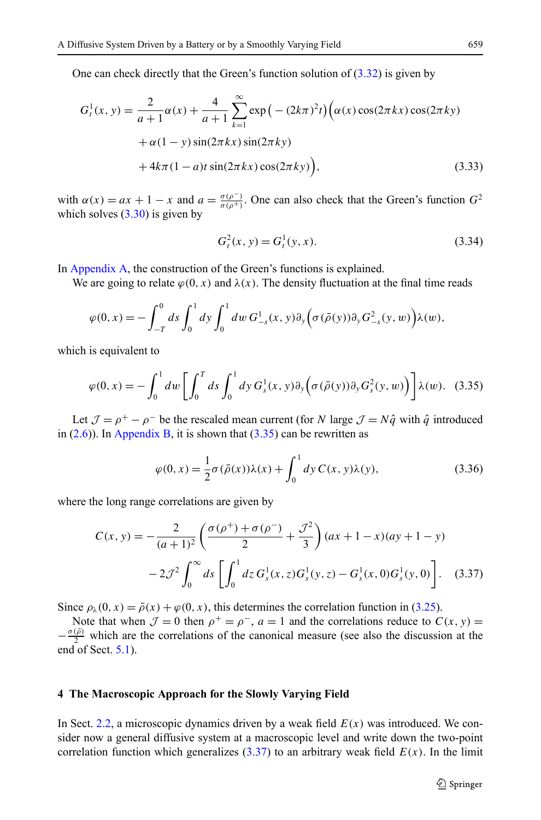<span id="page-11-0"></span>One can check directly that the Green's function solution of  $(3.32)$  $(3.32)$  $(3.32)$  is given by

$$
G_t^1(x, y) = \frac{2}{a+1} \alpha(x) + \frac{4}{a+1} \sum_{k=1}^{\infty} \exp(-(2k\pi)^2 t) \Big( \alpha(x) \cos(2\pi kx) \cos(2\pi ky) + \alpha(1-y) \sin(2\pi kx) \sin(2\pi ky) + 4k\pi(1-a)t \sin(2\pi kx) \cos(2\pi ky) \Big),
$$
\n(3.33)

with  $\alpha(x) = ax + 1 - x$  and  $a = \frac{\sigma(\rho^-)}{\sigma(\rho^+)}$ . One can also check that the Green's function  $G^2$ which solves  $(3.30)$  is given by

$$
G_t^2(x, y) = G_t^1(y, x). \tag{3.34}
$$

In [Appendix A,](#page-21-0) the construction of the Green's functions is explained.

We are going to relate  $\varphi(0, x)$  and  $\lambda(x)$ . The density fluctuation at the final time reads

$$
\varphi(0,x) = -\int_{-T}^0 ds \int_0^1 dy \int_0^1 dw G_{-s}^1(x,y) \partial_y \left(\sigma(\bar{\rho}(y)) \partial_y G_{-s}^2(y,w)\right) \lambda(w),
$$

which is equivalent to

$$
\varphi(0,x) = -\int_0^1 dw \left[ \int_0^T ds \int_0^1 dy G_s^1(x,y) \partial_y \left( \sigma(\bar{\rho}(y)) \partial_y G_s^2(y,w) \right) \right] \lambda(w). \tag{3.35}
$$

Let  $\mathcal{J} = \rho^+ - \rho^-$  be the rescaled mean current (for *N* large  $\mathcal{J} = N\hat{q}$  with  $\hat{q}$  introduced in  $(2.6)$  $(2.6)$ ). In [Appendix B,](#page-23-0) it is shown that  $(3.35)$  can be rewritten as

$$
\varphi(0, x) = \frac{1}{2}\sigma(\bar{\rho}(x))\lambda(x) + \int_0^1 dy C(x, y)\lambda(y),
$$
\n(3.36)

where the long range correlations are given by

$$
C(x, y) = -\frac{2}{(a+1)^2} \left( \frac{\sigma(\rho^+) + \sigma(\rho^-)}{2} + \frac{\sigma^2}{3} \right) (ax+1-x)(ay+1-y)
$$

$$
-2\sigma^2 \int_0^\infty ds \left[ \int_0^1 dz \, G_s^1(x, z) G_s^1(y, z) - G_s^1(x, 0) G_s^1(y, 0) \right]. \tag{3.37}
$$

Since  $\rho_{\lambda}(0, x) = \bar{\rho}(x) + \varphi(0, x)$ , this determines the correlation function in ([3.25](#page-9-0)).

Note that when  $\mathcal{J} = 0$  then  $\rho^+ = \rho^-$ ,  $a = 1$  and the correlations reduce to  $C(x, y) =$  $-\frac{\sigma(\bar{\rho})}{2}$  which are the correlations of the canonical measure (see also the discussion at the end of Sect. [5.1\)](#page-16-0).

## **4 The Macroscopic Approach for the Slowly Varying Field**

In Sect. [2.2](#page-3-0), a microscopic dynamics driven by a weak field *E(x)* was introduced. We consider now a general diffusive system at a macroscopic level and write down the two-point correlation function which generalizes  $(3.37)$  to an arbitrary weak field  $E(x)$ . In the limit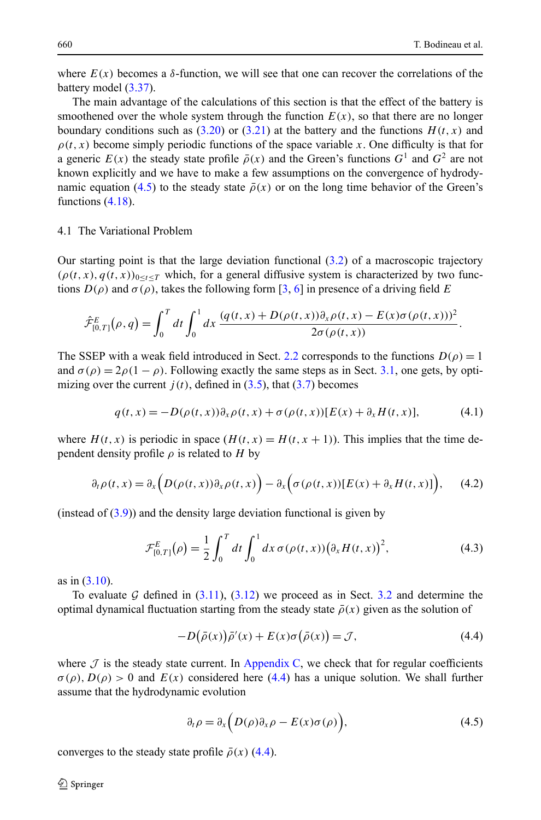<span id="page-12-0"></span>where  $E(x)$  becomes a  $\delta$ -function, we will see that one can recover the correlations of the battery model ([3.37](#page-11-0)).

The main advantage of the calculations of this section is that the effect of the battery is smoothened over the whole system through the function  $E(x)$ , so that there are no longer boundary conditions such as  $(3.20)$  $(3.20)$  $(3.20)$  or  $(3.21)$  $(3.21)$  at the battery and the functions  $H(t, x)$  and  $\rho(t, x)$  become simply periodic functions of the space variable *x*. One difficulty is that for a generic  $E(x)$  the steady state profile  $\bar{\rho}(x)$  and the Green's functions  $G^1$  and  $G^2$  are not known explicitly and we have to make a few assumptions on the convergence of hydrodynamic equation (4.5) to the steady state  $\bar{\rho}(x)$  or on the long time behavior of the Green's functions  $(4.18)$  $(4.18)$  $(4.18)$ .

## 4.1 The Variational Problem

Our starting point is that the large deviation functional  $(3.2)$  $(3.2)$  $(3.2)$  of a macroscopic trajectory  $(\rho(t, x), q(t, x))_{0 \le t \le T}$  which, for a general diffusive system is characterized by two functions  $D(\rho)$  and  $\sigma(\rho)$ , takes the following form [\[3](#page-27-0), [6\]](#page-27-0) in presence of a driving field *E* 

$$
\hat{\mathcal{F}}_{[0,T]}^{E}(\rho,q) = \int_{0}^{T} dt \int_{0}^{1} dx \, \frac{(q(t,x) + D(\rho(t,x))\partial_{x}\rho(t,x) - E(x)\sigma(\rho(t,x)))^{2}}{2\sigma(\rho(t,x))}.
$$

The SSEP with a weak field introduced in Sect. [2.2](#page-3-0) corresponds to the functions  $D(\rho) = 1$ and  $\sigma(\rho) = 2\rho(1 - \rho)$ . Following exactly the same steps as in Sect. [3.1,](#page-5-0) one gets, by optimizing over the current  $j(t)$ , defined in  $(3.5)$  $(3.5)$ , that  $(3.7)$  $(3.7)$  becomes

$$
q(t,x) = -D(\rho(t,x))\partial_x \rho(t,x) + \sigma(\rho(t,x))[E(x) + \partial_x H(t,x)],\tag{4.1}
$$

where  $H(t, x)$  is periodic in space  $(H(t, x) = H(t, x + 1))$ . This implies that the time dependent density profile  $\rho$  is related to *H* by

$$
\partial_t \rho(t, x) = \partial_x \left( D(\rho(t, x)) \partial_x \rho(t, x) \right) - \partial_x \left( \sigma(\rho(t, x)) [E(x) + \partial_x H(t, x)] \right), \quad (4.2)
$$

(instead of  $(3.9)$  $(3.9)$  $(3.9)$ ) and the density large deviation functional is given by

$$
\mathcal{F}_{[0,T]}^{E}(\rho) = \frac{1}{2} \int_0^T dt \int_0^1 dx \,\sigma(\rho(t,x)) \big(\partial_x H(t,x)\big)^2,\tag{4.3}
$$

as in  $(3.10)$  $(3.10)$ .

To evaluate G defined in  $(3.11)$ ,  $(3.12)$  $(3.12)$  $(3.12)$  we proceed as in Sect. [3.2](#page-7-0) and determine the optimal dynamical fluctuation starting from the steady state  $\bar{\rho}(x)$  given as the solution of

$$
-D(\bar{\rho}(x))\bar{\rho}'(x) + E(x)\sigma(\bar{\rho}(x)) = \mathcal{J},\tag{4.4}
$$

where  $\mathcal J$  is the steady state current. In [Appendix C](#page-25-0), we check that for regular coefficients  $\sigma(\rho)$ ,  $D(\rho) > 0$  and  $E(x)$  considered here (4.4) has a unique solution. We shall further assume that the hydrodynamic evolution

$$
\partial_t \rho = \partial_x \Big( D(\rho) \partial_x \rho - E(x) \sigma(\rho) \Big), \tag{4.5}
$$

converges to the steady state profile  $\bar{\rho}(x)$  (4.4).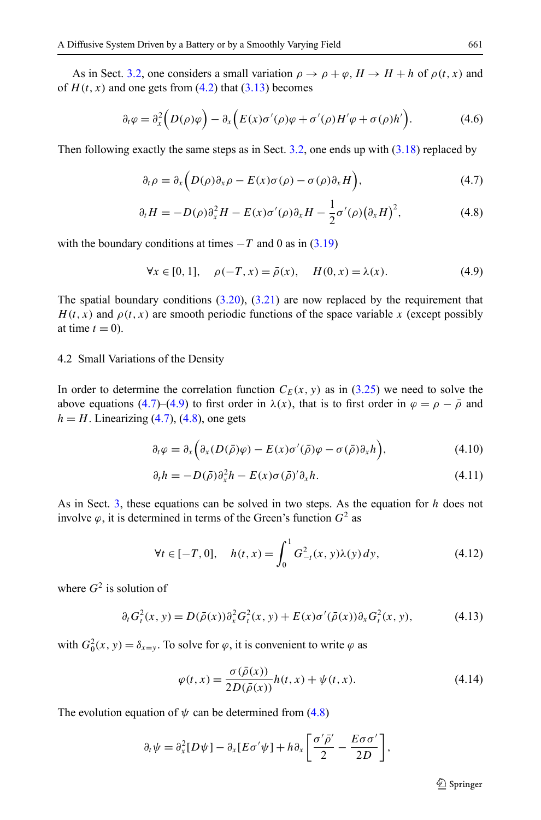<span id="page-13-0"></span>As in Sect. [3.2,](#page-7-0) one considers a small variation  $\rho \rightarrow \rho + \varphi$ ,  $H \rightarrow H + h$  of  $\rho(t, x)$  and of  $H(t, x)$  and one gets from  $(4.2)$  that  $(3.13)$  becomes

$$
\partial_t \varphi = \partial_x^2 \Big( D(\rho) \varphi \Big) - \partial_x \Big( E(x) \sigma'(\rho) \varphi + \sigma'(\rho) H' \varphi + \sigma(\rho) h' \Big). \tag{4.6}
$$

Then following exactly the same steps as in Sect. [3.2](#page-7-0), one ends up with ([3.18](#page-8-0)) replaced by

$$
\partial_t \rho = \partial_x \Big( D(\rho) \partial_x \rho - E(x) \sigma(\rho) - \sigma(\rho) \partial_x H \Big), \tag{4.7}
$$

$$
\partial_t H = -D(\rho)\partial_x^2 H - E(x)\sigma'(\rho)\partial_x H - \frac{1}{2}\sigma'(\rho)\big(\partial_x H\big)^2,\tag{4.8}
$$

with the boundary conditions at times  $-T$  and 0 as in  $(3.19)$ 

$$
\forall x \in [0, 1], \quad \rho(-T, x) = \bar{\rho}(x), \quad H(0, x) = \lambda(x). \tag{4.9}
$$

The spatial boundary conditions  $(3.20)$  $(3.20)$  $(3.20)$ ,  $(3.21)$  $(3.21)$  are now replaced by the requirement that  $H(t, x)$  and  $\rho(t, x)$  are smooth periodic functions of the space variable x (except possibly at time  $t = 0$ ).

## 4.2 Small Variations of the Density

In order to determine the correlation function  $C_F(x, y)$  as in [\(3.25\)](#page-9-0) we need to solve the above equations (4.7)–(4.9) to first order in  $\lambda(x)$ , that is to first order in  $\varphi = \rho - \bar{\rho}$  and  $h = H$ . Linearizing  $(4.7)$ ,  $(4.8)$ , one gets

$$
\partial_t \varphi = \partial_x \Big( \partial_x (D(\bar{\rho})\varphi) - E(x) \sigma'(\bar{\rho})\varphi - \sigma(\bar{\rho}) \partial_x h \Big), \tag{4.10}
$$

$$
\partial_t h = -D(\bar{\rho})\partial_x^2 h - E(x)\sigma(\bar{\rho})'\partial_x h. \tag{4.11}
$$

As in Sect. [3](#page-5-0), these equations can be solved in two steps. As the equation for *h* does not involve  $\varphi$ , it is determined in terms of the Green's function  $G^2$  as

$$
\forall t \in [-T, 0], \quad h(t, x) = \int_0^1 G_{-t}^2(x, y) \lambda(y) \, dy,\tag{4.12}
$$

where  $G^2$  is solution of

$$
\partial_t G_t^2(x, y) = D(\bar{\rho}(x)) \partial_x^2 G_t^2(x, y) + E(x) \sigma'(\bar{\rho}(x)) \partial_x G_t^2(x, y), \tag{4.13}
$$

with  $G_0^2(x, y) = \delta_{x=y}$ . To solve for  $\varphi$ , it is convenient to write  $\varphi$  as

$$
\varphi(t,x) = \frac{\sigma(\bar{\rho}(x))}{2D(\bar{\rho}(x))}h(t,x) + \psi(t,x).
$$
\n(4.14)

The evolution equation of  $\psi$  can be determined from (4.8)

$$
\partial_t \psi = \partial_x^2 [D\psi] - \partial_x [E\sigma'\psi] + h \partial_x \left[ \frac{\sigma'\bar{\rho}'}{2} - \frac{E\sigma\sigma'}{2D} \right],
$$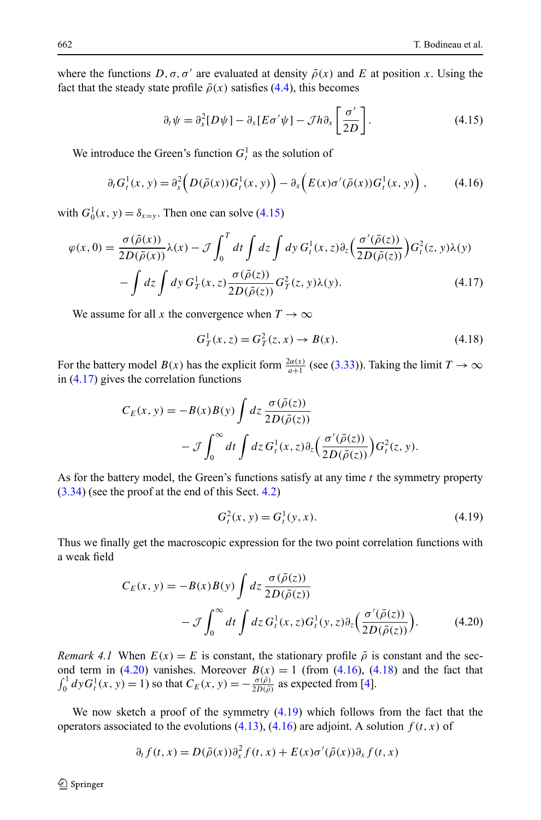<span id="page-14-0"></span>where the functions  $D, \sigma, \sigma'$  are evaluated at density  $\bar{\rho}(x)$  and E at position x. Using the fact that the steady state profile  $\bar{\rho}(x)$  satisfies [\(4.4](#page-12-0)), this becomes

$$
\partial_t \psi = \partial_x^2 [D\psi] - \partial_x [E\sigma'\psi] - \mathcal{J}h\partial_x \left[\frac{\sigma'}{2D}\right]. \tag{4.15}
$$

We introduce the Green's function  $G_t^1$  as the solution of

$$
\partial_t G_t^1(x, y) = \partial_x^2 \left( D(\bar{\rho}(x)) G_t^1(x, y) \right) - \partial_x \left( E(x) \sigma'(\bar{\rho}(x)) G_t^1(x, y) \right), \tag{4.16}
$$

with  $G_0^1(x, y) = \delta_{x=y}$ . Then one can solve (4.15)

$$
\varphi(x,0) = \frac{\sigma(\bar{\rho}(x))}{2D(\bar{\rho}(x))}\lambda(x) - \mathcal{J}\int_0^T dt \int dz \int dy G_t^1(x,z)\partial_z \left(\frac{\sigma'(\bar{\rho}(z))}{2D(\bar{\rho}(z))}\right) G_t^2(z,y)\lambda(y)
$$

$$
- \int dz \int dy G_T^1(x,z)\frac{\sigma(\bar{\rho}(z))}{2D(\bar{\rho}(z))} G_T^2(z,y)\lambda(y). \tag{4.17}
$$

We assume for all *x* the convergence when  $T \to \infty$ 

$$
G_T^1(x, z) = G_T^2(z, x) \to B(x).
$$
 (4.18)

For the battery model  $B(x)$  has the explicit form  $\frac{2\alpha(x)}{a+1}$  (see [\(3.33\)](#page-11-0)). Taking the limit  $T \to \infty$ in (4.17) gives the correlation functions

$$
C_E(x, y) = -B(x)B(y) \int dz \frac{\sigma(\bar{\rho}(z))}{2D(\bar{\rho}(z))}
$$

$$
- \mathcal{J} \int_0^\infty dt \int dz G_t^1(x, z) \partial_z \left( \frac{\sigma'(\bar{\rho}(z))}{2D(\bar{\rho}(z))} \right) G_t^2(z, y).
$$

As for the battery model, the Green's functions satisfy at any time *t* the symmetry property ([3.34\)](#page-11-0) (see the proof at the end of this Sect. [4.2\)](#page-13-0)

$$
G_t^2(x, y) = G_t^1(y, x). \tag{4.19}
$$

Thus we finally get the macroscopic expression for the two point correlation functions with a weak field

$$
C_E(x, y) = -B(x)B(y) \int dz \frac{\sigma(\bar{\rho}(z))}{2D(\bar{\rho}(z))}
$$

$$
- \mathcal{J} \int_0^\infty dt \int dz G_t^1(x, z)G_t^1(y, z) \partial_z \left(\frac{\sigma'(\bar{\rho}(z))}{2D(\bar{\rho}(z))}\right).
$$
(4.20)

*Remark 4.1* When  $E(x) = E$  is constant, the stationary profile  $\bar{\rho}$  is constant and the second term in  $(4.20)$  vanishes. Moreover  $B(x) = 1$  (from  $(4.16)$ ,  $(4.18)$ ) and the fact that  $\int_0^1 dy G_t^1(x, y) = 1$ ) so that  $C_E(x, y) = -\frac{\sigma(\bar{\rho})}{2D(\bar{\rho})}$  as expected from [\[4\]](#page-27-0).

We now sketch a proof of the symmetry  $(4.19)$  which follows from the fact that the operators associated to the evolutions  $(4.13)$  $(4.13)$  $(4.13)$ ,  $(4.16)$  are adjoint. A solution  $f(t, x)$  of

$$
\partial_t f(t, x) = D(\bar{\rho}(x)) \partial_x^2 f(t, x) + E(x) \sigma'(\bar{\rho}(x)) \partial_x f(t, x)
$$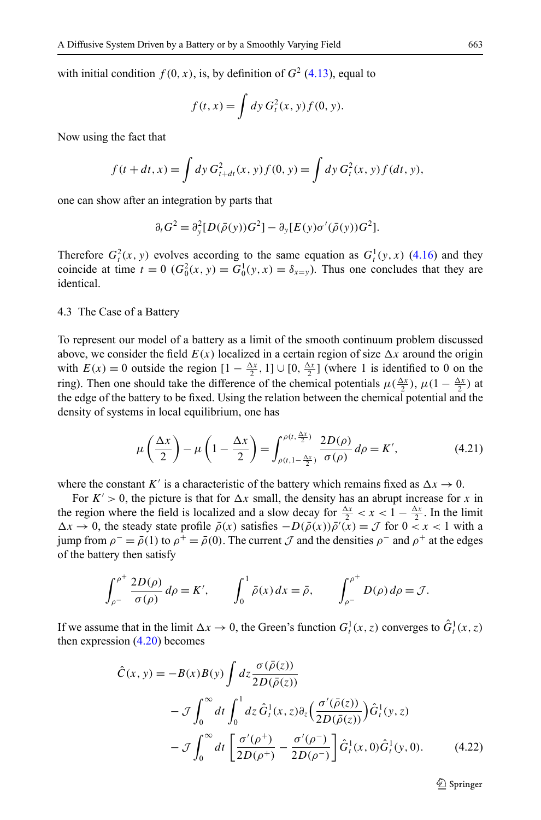with initial condition  $f(0, x)$ , is, by definition of  $G<sup>2</sup>$  ([4.13](#page-13-0)), equal to

$$
f(t,x) = \int dy G_t^2(x, y) f(0, y).
$$

Now using the fact that

$$
f(t + dt, x) = \int dy \, G_{t+dt}^{2}(x, y) f(0, y) = \int dy \, G_{t}^{2}(x, y) f(dt, y),
$$

one can show after an integration by parts that

$$
\partial_t G^2 = \partial_y^2 [D(\bar{\rho}(y))G^2] - \partial_y [E(y)\sigma'(\bar{\rho}(y))G^2].
$$

Therefore  $G_t^2(x, y)$  evolves according to the same equation as  $G_t^1(y, x)$  ([4.16](#page-14-0)) and they coincide at time  $t = 0$  ( $G_0^2(x, y) = G_0^1(y, x) = \delta_{x=y}$ ). Thus one concludes that they are identical.

4.3 The Case of a Battery

To represent our model of a battery as a limit of the smooth continuum problem discussed above, we consider the field  $E(x)$  localized in a certain region of size  $\Delta x$  around the origin with  $E(x) = 0$  outside the region  $[1 - \frac{\Delta x}{2}, 1] \cup [0, \frac{\Delta x}{2}]$  (where 1 is identified to 0 on the ring). Then one should take the difference of the chemical potentials  $\mu(\frac{\Delta x}{2})$ ,  $\mu(1-\frac{\Delta x}{2})$  at the edge of the battery to be fixed. Using the relation between the chemical potential and the density of systems in local equilibrium, one has

$$
\mu\left(\frac{\Delta x}{2}\right) - \mu\left(1 - \frac{\Delta x}{2}\right) = \int_{\rho(t, 1 - \frac{\Delta x}{2})}^{\rho(t, \frac{\Delta x}{2})} \frac{2D(\rho)}{\sigma(\rho)} d\rho = K',\tag{4.21}
$$

where the constant *K'* is a characteristic of the battery which remains fixed as  $\Delta x \rightarrow 0$ .

For  $K' > 0$ , the picture is that for  $\Delta x$  small, the density has an abrupt increase for x in the region where the field is localized and a slow decay for  $\frac{\Delta x}{2} < x < 1 - \frac{\Delta x}{2}$ . In the limit  $\Delta x \to 0$ , the steady state profile  $\bar{\rho}(x)$  satisfies  $-D(\bar{\rho}(x))\bar{\rho}'(x) = \mathcal{J}$  for  $0 < x < 1$  with a jump from  $\rho^- = \bar{\rho}(1)$  to  $\rho^+ = \bar{\rho}(0)$ . The current J and the densities  $\rho^-$  and  $\rho^+$  at the edges of the battery then satisfy

$$
\int_{\rho^-}^{\rho^+} \frac{2D(\rho)}{\sigma(\rho)} d\rho = K', \qquad \int_0^1 \bar{\rho}(x) dx = \bar{\rho}, \qquad \int_{\rho^-}^{\rho^+} D(\rho) d\rho = \mathcal{J}.
$$

If we assume that in the limit  $\Delta x \to 0$ , the Green's function  $G_t^1(x, z)$  converges to  $\hat{G}_t^1(x, z)$ then expression [\(4.20\)](#page-14-0) becomes

$$
\hat{C}(x, y) = -B(x)B(y) \int dz \frac{\sigma(\bar{\rho}(z))}{2D(\bar{\rho}(z))}
$$

$$
- \mathcal{J} \int_0^\infty dt \int_0^1 dz \hat{G}_t^1(x, z) \partial_z \left(\frac{\sigma'(\bar{\rho}(z))}{2D(\bar{\rho}(z))}\right) \hat{G}_t^1(y, z)
$$

$$
- \mathcal{J} \int_0^\infty dt \left[ \frac{\sigma'(\rho^+)}{2D(\rho^+)} - \frac{\sigma'(\rho^-)}{2D(\rho^-)} \right] \hat{G}_t^1(x, 0) \hat{G}_t^1(y, 0). \tag{4.22}
$$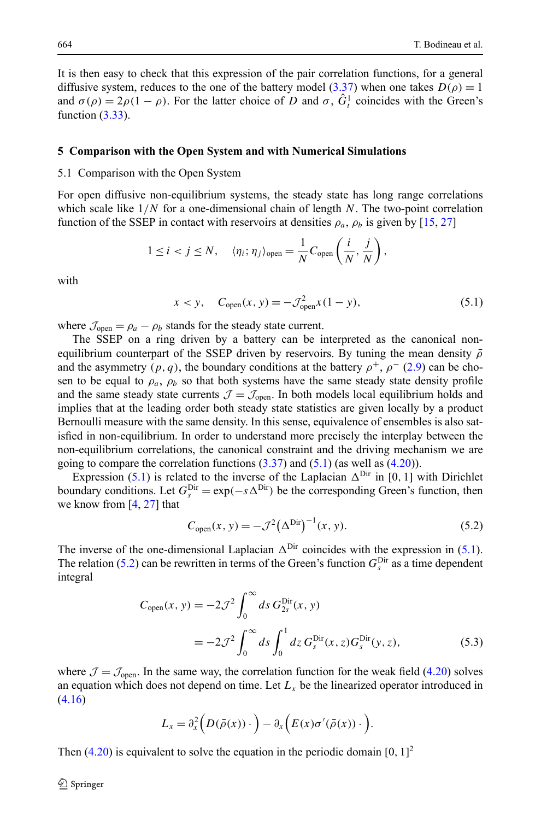<span id="page-16-0"></span>It is then easy to check that this expression of the pair correlation functions, for a general diffusive system, reduces to the one of the battery model ([3.37](#page-11-0)) when one takes  $D(\rho) = 1$ and  $\sigma(\rho) = 2\rho(1 - \rho)$ . For the latter choice of *D* and  $\sigma$ ,  $\hat{G}^1$  coincides with the Green's function  $(3.33)$  $(3.33)$  $(3.33)$ .

#### **5 Comparison with the Open System and with Numerical Simulations**

## 5.1 Comparison with the Open System

For open diffusive non-equilibrium systems, the steady state has long range correlations which scale like 1*/N* for a one-dimensional chain of length *N*. The two-point correlation function of the SSEP in contact with reservoirs at densities  $\rho_a$ ,  $\rho_b$  is given by [\[15,](#page-27-0) [27\]](#page-27-0)

$$
1 \leq i < j \leq N, \quad \langle \eta_i; \eta_j \rangle_{\text{open}} = \frac{1}{N} C_{\text{open}} \left( \frac{i}{N}, \frac{j}{N} \right),
$$

with

$$
x < y
$$
,  $C_{\text{open}}(x, y) = -\mathcal{J}_{\text{open}}^2 x (1 - y)$ , (5.1)

where  $\mathcal{J}_{open} = \rho_a - \rho_b$  stands for the steady state current.

The SSEP on a ring driven by a battery can be interpreted as the canonical nonequilibrium counterpart of the SSEP driven by reservoirs. By tuning the mean density  $\bar{\rho}$ and the asymmetry  $(p, q)$ , the boundary conditions at the battery  $\rho^+$ ,  $\rho^-(2.9)$  $\rho^-(2.9)$  can be chosen to be equal to  $\rho_a$ ,  $\rho_b$  so that both systems have the same steady state density profile and the same steady state currents  $\mathcal{J} = \mathcal{J}_{open}$ . In both models local equilibrium holds and implies that at the leading order both steady state statistics are given locally by a product Bernoulli measure with the same density. In this sense, equivalence of ensembles is also satisfied in non-equilibrium. In order to understand more precisely the interplay between the non-equilibrium correlations, the canonical constraint and the driving mechanism we are going to compare the correlation functions  $(3.37)$  $(3.37)$  and  $(5.1)$  (as well as  $(4.20)$  $(4.20)$  $(4.20)$ ).

Expression (5.1) is related to the inverse of the Laplacian  $\Delta^{Dir}$  in [0, 1] with Dirichlet boundary conditions. Let  $G_s^{\text{Dir}} = \exp(-s\Delta^{\text{Dir}})$  be the corresponding Green's function, then we know from [\[4](#page-27-0), [27](#page-27-0)] that

$$
C_{\text{open}}(x, y) = -\mathcal{J}^2 (\Delta^{\text{Dir}})^{-1} (x, y).
$$
 (5.2)

The inverse of the one-dimensional Laplacian  $\Delta^{\text{Dir}}$  coincides with the expression in (5.1). The relation (5.2) can be rewritten in terms of the Green's function  $G_s^{\text{Dir}}$  as a time dependent integral

$$
C_{\text{open}}(x, y) = -2\mathcal{J}^2 \int_0^\infty ds \, G_{2s}^{\text{Dir}}(x, y)
$$
  
= 
$$
-2\mathcal{J}^2 \int_0^\infty ds \int_0^1 dz \, G_s^{\text{Dir}}(x, z) G_s^{\text{Dir}}(y, z), \qquad (5.3)
$$

where  $\mathcal{J} = \mathcal{J}_{open}$ . In the same way, the correlation function for the weak field ([4.20](#page-14-0)) solves an equation which does not depend on time. Let  $L<sub>x</sub>$  be the linearized operator introduced in ([4.16\)](#page-14-0)

$$
L_x = \partial_x^2 \Big( D(\bar{\rho}(x)) \cdot \Big) - \partial_x \Big( E(x) \sigma'(\bar{\rho}(x)) \cdot \Big).
$$

Then ([4.20](#page-14-0)) is equivalent to solve the equation in the periodic domain [0*,* 1] 2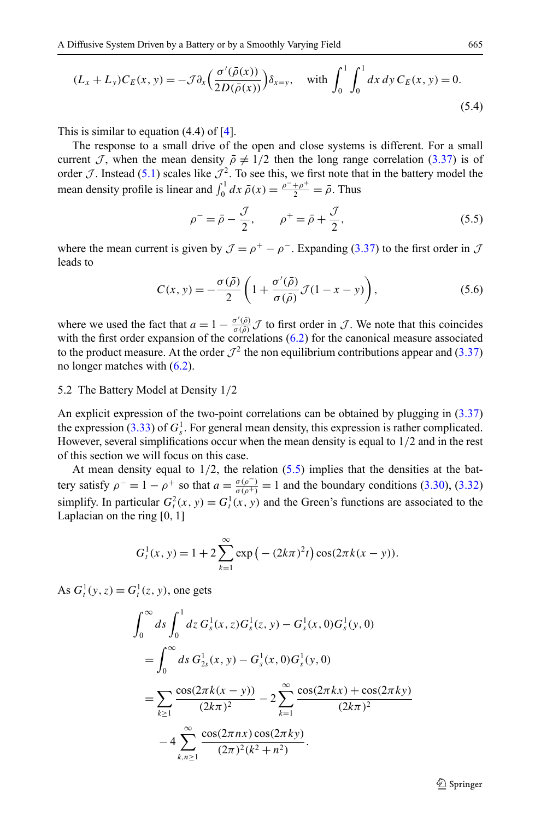$$
(L_x + L_y)C_E(x, y) = -\mathcal{J}\partial_x \left(\frac{\sigma'(\bar{\rho}(x))}{2D(\bar{\rho}(x))}\right)\delta_{x=y}, \quad \text{with } \int_0^1 \int_0^1 dx \, dy \, C_E(x, y) = 0. \tag{5.4}
$$

This is similar to equation (4.4) of [[4\]](#page-27-0).

The response to a small drive of the open and close systems is different. For a small current J, when the mean density  $\bar{\rho} \neq 1/2$  then the long range correlation [\(3.37\)](#page-11-0) is of order  $\mathcal{J}$ . Instead [\(5.1\)](#page-16-0) scales like  $\mathcal{J}^2$ . To see this, we first note that in the battery model the mean density profile is linear and  $\int_0^1 dx \,\bar{\rho}(x) = \frac{\rho^- + \rho^+}{2} = \bar{\rho}$ . Thus

$$
\rho^- = \bar{\rho} - \frac{\mathcal{J}}{2}, \qquad \rho^+ = \bar{\rho} + \frac{\mathcal{J}}{2}, \tag{5.5}
$$

where the mean current is given by  $\mathcal{J} = \rho^+ - \rho^-$ . Expanding [\(3.37\)](#page-11-0) to the first order in  $\mathcal{J}$ leads to

$$
C(x, y) = -\frac{\sigma(\bar{\rho})}{2} \left( 1 + \frac{\sigma'(\bar{\rho})}{\sigma(\bar{\rho})} \mathcal{J}(1 - x - y) \right),\tag{5.6}
$$

where we used the fact that  $a = 1 - \frac{\sigma'(\bar{\rho})}{\sigma(\bar{\rho})} \mathcal{J}$  to first order in  $\mathcal{J}$ . We note that this coincides with the first order expansion of the correlations ([6.2](#page-20-0)) for the canonical measure associated to the product measure. At the order  $\mathcal{J}^2$  the non equilibrium contributions appear and ([3.37](#page-11-0)) no longer matches with ([6.2\)](#page-20-0).

## 5.2 The Battery Model at Density 1*/*2

An explicit expression of the two-point correlations can be obtained by plugging in ([3.37](#page-11-0)) the expression [\(3.33\)](#page-11-0) of  $G_s^1$ . For general mean density, this expression is rather complicated. However, several simplifications occur when the mean density is equal to 1*/*2 and in the rest of this section we will focus on this case.

At mean density equal to  $1/2$ , the relation  $(5.5)$  implies that the densities at the battery satisfy  $\rho^- = 1 - \rho^+$  so that  $a = \frac{\sigma(\rho^-)}{\sigma(\rho^+)} = 1$  and the boundary conditions ([3.30](#page-10-0)), ([3.32](#page-10-0)) simplify. In particular  $G_t^2(x, y) = G_t^1(x, y)$  and the Green's functions are associated to the Laplacian on the ring [0*,* 1]

$$
G_t^1(x, y) = 1 + 2 \sum_{k=1}^{\infty} \exp(-(2k\pi)^2 t) \cos(2\pi k(x - y)).
$$

As  $G_t^1(y, z) = G_t^1(z, y)$ , one gets

$$
\int_0^\infty ds \int_0^1 dz \, G_s^1(x, z) G_s^1(z, y) - G_s^1(x, 0) G_s^1(y, 0)
$$
  
= 
$$
\int_0^\infty ds \, G_{2s}^1(x, y) - G_s^1(x, 0) G_s^1(y, 0)
$$
  
= 
$$
\sum_{k \ge 1} \frac{\cos(2\pi k(x - y))}{(2k\pi)^2} - 2 \sum_{k=1}^\infty \frac{\cos(2\pi kx) + \cos(2\pi ky)}{(2k\pi)^2}
$$
  
- 
$$
4 \sum_{k,n \ge 1}^\infty \frac{\cos(2\pi nx) \cos(2\pi ky)}{(2\pi)^2 (k^2 + n^2)}.
$$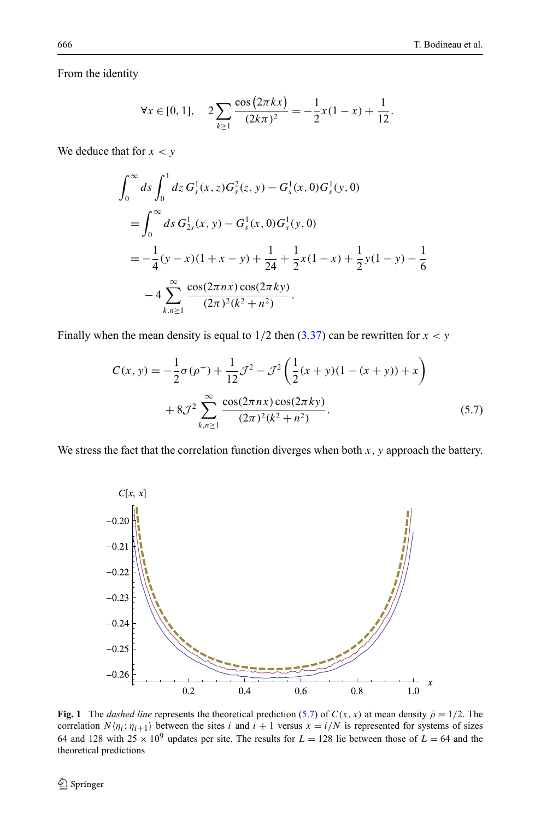<span id="page-18-0"></span>From the identity

$$
\forall x \in [0, 1], \quad 2\sum_{k \ge 1} \frac{\cos(2\pi kx)}{(2k\pi)^2} = -\frac{1}{2}x(1-x) + \frac{1}{12}.
$$

We deduce that for  $x < y$ 

$$
\int_0^\infty ds \int_0^1 dz \, G_s^1(x, z) G_s^2(z, y) - G_s^1(x, 0) G_s^1(y, 0)
$$
  
= 
$$
\int_0^\infty ds \, G_{2s}^1(x, y) - G_s^1(x, 0) G_s^1(y, 0)
$$
  
= 
$$
-\frac{1}{4} (y - x) (1 + x - y) + \frac{1}{24} + \frac{1}{2} x (1 - x) + \frac{1}{2} y (1 - y) - \frac{1}{6}
$$
  
- 
$$
4 \sum_{k,n \ge 1}^\infty \frac{\cos(2\pi nx) \cos(2\pi ky)}{(2\pi)^2 (k^2 + n^2)}.
$$

Finally when the mean density is equal to  $1/2$  then  $(3.37)$  $(3.37)$  can be rewritten for  $x < y$ 

$$
C(x, y) = -\frac{1}{2}\sigma(\rho^+) + \frac{1}{12}\mathcal{J}^2 - \mathcal{J}^2 \left(\frac{1}{2}(x+y)(1-(x+y)) + x\right) + 8\mathcal{J}^2 \sum_{k,n \ge 1}^{\infty} \frac{\cos(2\pi nx)\cos(2\pi ky)}{(2\pi)^2(k^2+n^2)}.
$$
 (5.7)

We stress the fact that the correlation function diverges when both  $x$ ,  $y$  approach the battery.



**Fig. 1** The *dashed line* represents the theoretical prediction (5.7) of  $C(x, x)$  at mean density  $\bar{\rho} = 1/2$ . The correlation  $N \langle \eta_i; \eta_{i+1} \rangle$  between the sites *i* and  $i + 1$  versus  $x = i/N$  is represented for systems of sizes 64 and 128 with  $25 \times 10^9$  updates per site. The results for  $L = 128$  lie between those of  $L = 64$  and the theoretical predictions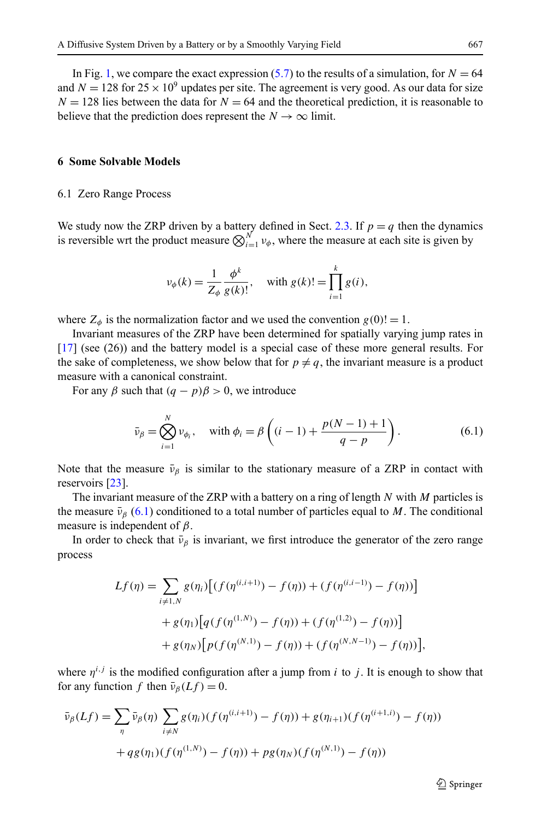<span id="page-19-0"></span>believe that the prediction does represent the  $N \to \infty$  limit.

## **6 Some Solvable Models**

#### 6.1 Zero Range Process

We study now the ZRP driven by a battery defined in Sect. [2.3](#page-5-0). If  $p = q$  then the dynamics is reversible wrt the product measure  $\bigotimes_{i=1}^{N} v_{\phi}$ , where the measure at each site is given by

$$
v_{\phi}(k) = \frac{1}{Z_{\phi}} \frac{\phi^{k}}{g(k)!}
$$
, with  $g(k)! = \prod_{i=1}^{k} g(i)$ ,

where  $Z_{\phi}$  is the normalization factor and we used the convention  $g(0) = 1$ .

Invariant measures of the ZRP have been determined for spatially varying jump rates in [[17](#page-27-0)] (see (26)) and the battery model is a special case of these more general results. For the sake of completeness, we show below that for  $p \neq q$ , the invariant measure is a product measure with a canonical constraint.

For any  $\beta$  such that  $(q - p)\beta > 0$ , we introduce

$$
\bar{\nu}_{\beta} = \bigotimes_{i=1}^{N} \nu_{\phi_i}, \quad \text{with } \phi_i = \beta \left( (i-1) + \frac{p(N-1)+1}{q-p} \right). \tag{6.1}
$$

Note that the measure  $\bar{\nu}_{\beta}$  is similar to the stationary measure of a ZRP in contact with reservoirs [\[23\]](#page-27-0).

The invariant measure of the ZRP with a battery on a ring of length *N* with *M* particles is the measure  $\bar{v}_\beta$  (6.1) conditioned to a total number of particles equal to *M*. The conditional measure is independent of *β*.

In order to check that  $\bar{\nu}_{\beta}$  is invariant, we first introduce the generator of the zero range process

$$
Lf(\eta) = \sum_{i \neq 1, N} g(\eta_i) \Big[ (f(\eta^{(i,i+1)}) - f(\eta)) + (f(\eta^{(i,i-1)}) - f(\eta)) \Big] + g(\eta_1) \Big[ q(f(\eta^{(1,N)}) - f(\eta)) + (f(\eta^{(1,2)}) - f(\eta)) \Big] + g(\eta_N) \Big[ p(f(\eta^{(N,1)}) - f(\eta)) + (f(\eta^{(N,N-1)}) - f(\eta)) \Big],
$$

where  $\eta^{i,j}$  is the modified configuration after a jump from *i* to *j*. It is enough to show that for any function *f* then  $\bar{v}_\beta(Lf) = 0$ .

$$
\bar{\nu}_{\beta}(Lf) = \sum_{\eta} \bar{\nu}_{\beta}(\eta) \sum_{i \neq N} g(\eta_i) (f(\eta^{(i,i+1)}) - f(\eta)) + g(\eta_{i+1}) (f(\eta^{(i+1,i)}) - f(\eta)) \n+ qg(\eta_1) (f(\eta^{(1,N)}) - f(\eta)) + pg(\eta_N) (f(\eta^{(N,1)}) - f(\eta))
$$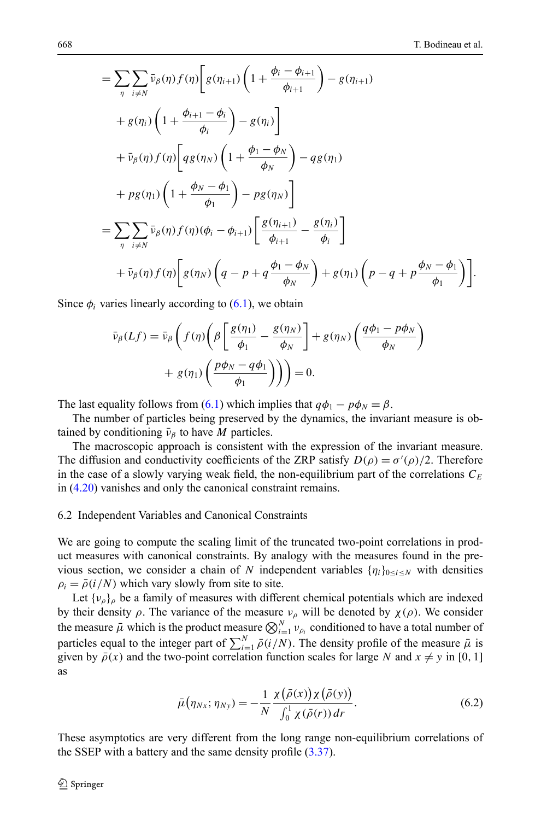<span id="page-20-0"></span>
$$
= \sum_{\eta} \sum_{i \neq N} \bar{\nu}_{\beta}(\eta) f(\eta) \left[ g(\eta_{i+1}) \left( 1 + \frac{\phi_i - \phi_{i+1}}{\phi_{i+1}} \right) - g(\eta_{i+1}) \right. \\ \left. + g(\eta_i) \left( 1 + \frac{\phi_{i+1} - \phi_i}{\phi_i} \right) - g(\eta_i) \right] \\ \left. + \bar{\nu}_{\beta}(\eta) f(\eta) \left[ q g(\eta_N) \left( 1 + \frac{\phi_1 - \phi_N}{\phi_N} \right) - q g(\eta_1) \right. \\ \left. + p g(\eta_1) \left( 1 + \frac{\phi_N - \phi_1}{\phi_1} \right) - p g(\eta_N) \right] \\ = \sum_{\eta} \sum_{i \neq N} \bar{\nu}_{\beta}(\eta) f(\eta) (\phi_i - \phi_{i+1}) \left[ \frac{g(\eta_{i+1})}{\phi_{i+1}} - \frac{g(\eta_i)}{\phi_i} \right] \\ \left. + \bar{\nu}_{\beta}(\eta) f(\eta) \left[ g(\eta_N) \left( q - p + q \frac{\phi_1 - \phi_N}{\phi_N} \right) + g(\eta_1) \left( p - q + p \frac{\phi_N - \phi_1}{\phi_1} \right) \right] \right].
$$

Since  $\phi_i$  varies linearly according to  $(6.1)$  $(6.1)$ , we obtain

$$
\bar{\nu}_{\beta}(Lf) = \bar{\nu}_{\beta}\left(f(\eta)\left(\beta\left[\frac{g(\eta_{1})}{\phi_{1}} - \frac{g(\eta_{N})}{\phi_{N}}\right] + g(\eta_{N})\left(\frac{q\phi_{1} - p\phi_{N}}{\phi_{N}}\right) + g(\eta_{1})\left(\frac{p\phi_{N} - q\phi_{1}}{\phi_{1}}\right)\right)\right) = 0.
$$

The last equality follows from ([6.1\)](#page-19-0) which implies that  $q\phi_1 - p\phi_N = \beta$ .

The number of particles being preserved by the dynamics, the invariant measure is obtained by conditioning  $\bar{v}_\beta$  to have *M* particles.

The macroscopic approach is consistent with the expression of the invariant measure. The diffusion and conductivity coefficients of the ZRP satisfy  $D(\rho) = \sigma'(\rho)/2$ . Therefore in the case of a slowly varying weak field, the non-equilibrium part of the correlations  $C_F$ in ([4.20](#page-14-0)) vanishes and only the canonical constraint remains.

## 6.2 Independent Variables and Canonical Constraints

We are going to compute the scaling limit of the truncated two-point correlations in product measures with canonical constraints. By analogy with the measures found in the previous section, we consider a chain of *N* independent variables  $\{\eta_i\}_{0 \le i \le N}$  with densities  $\rho_i = \bar{\rho}(i/N)$  which vary slowly from site to site.

Let  $\{v_{\rho}\}_\rho$  be a family of measures with different chemical potentials which are indexed by their density *ρ*. The variance of the measure  $ν<sub>ρ</sub>$  will be denoted by  $χ(ρ)$ . We consider the measure  $\bar{\mu}$  which is the product measure  $\bigotimes_{i=1}^{N} v_{\rho_i}$  conditioned to have a total number of particles equal to the integer part of  $\sum_{i=1}^{N} \bar{\rho}(i/N)$ . The density profile of the measure  $\bar{\mu}$  is given by  $\bar{\rho}(x)$  and the two-point correlation function scales for large *N* and  $x \neq y$  in [0, 1] as

$$
\bar{\mu}(\eta_{Nx}; \eta_{Ny}) = -\frac{1}{N} \frac{\chi(\bar{\rho}(x))\chi(\bar{\rho}(y))}{\int_0^1 \chi(\bar{\rho}(r)) dr}.
$$
\n(6.2)

These asymptotics are very different from the long range non-equilibrium correlations of the SSEP with a battery and the same density profile ([3.37](#page-11-0)).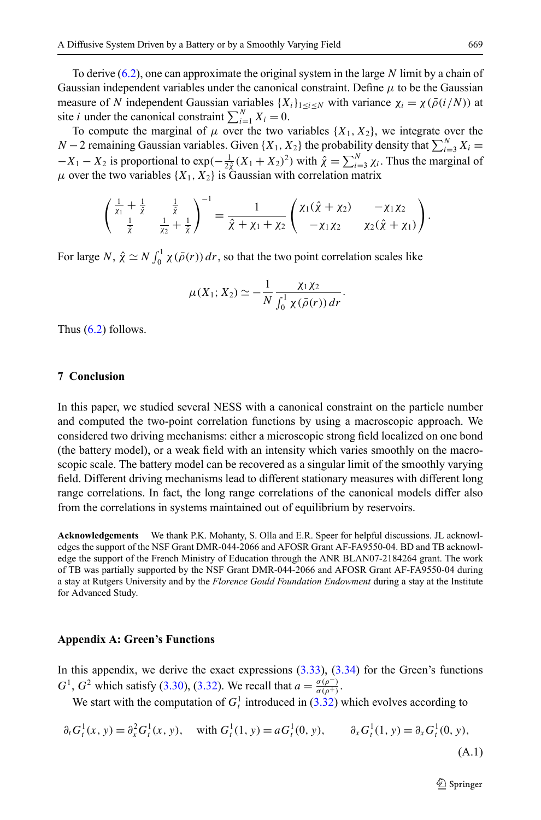<span id="page-21-0"></span>To derive ([6.2\)](#page-20-0), one can approximate the original system in the large *N* limit by a chain of Gaussian independent variables under the canonical constraint. Define *μ* to be the Gaussian measure of *N* independent Gaussian variables  $\{X_i\}_{1 \le i \le N}$  with variance  $\chi_i = \chi(\bar{\rho}(i/N))$  at site *i* under the canonical constraint  $\sum_{i=1}^{N} X_i = 0$ .

To compute the marginal of  $\mu$  over the two variables  $\{X_1, X_2\}$ , we integrate over the *N* − 2 remaining Gaussian variables. Given {*X*<sub>1</sub>, *X*<sub>2</sub>} the probability density that  $\sum_{i=3}^{N} X_i$  =  $-X_1 - X_2$  is proportional to exp $(-\frac{1}{2\hat{\chi}}(X_1 + X_2)^2)$  with  $\hat{\chi} = \sum_{i=3}^N \chi_i$ . Thus the marginal of  $\mu$  over the two variables  $\{X_1, X_2\}$  is Gaussian with correlation matrix

$$
\begin{pmatrix} \frac{1}{\chi_1} + \frac{1}{\hat{\chi}} & \frac{1}{\hat{\chi}} \\ \frac{1}{\hat{\chi}} & \frac{1}{\chi_2} + \frac{1}{\hat{\chi}} \end{pmatrix}^{-1} = \frac{1}{\hat{\chi} + \chi_1 + \chi_2} \begin{pmatrix} \chi_1(\hat{\chi} + \chi_2) & -\chi_1\chi_2 \\ -\chi_1\chi_2 & \chi_2(\hat{\chi} + \chi_1) \end{pmatrix}.
$$

For large *N*,  $\hat{\chi} \simeq N \int_0^1 \chi(\bar{\rho}(r)) dr$ , so that the two point correlation scales like

$$
\mu(X_1; X_2) \simeq -\frac{1}{N} \frac{\chi_1 \chi_2}{\int_0^1 \chi(\bar{\rho}(r)) dr}.
$$

Thus  $(6.2)$  $(6.2)$  follows.

# **7 Conclusion**

In this paper, we studied several NESS with a canonical constraint on the particle number and computed the two-point correlation functions by using a macroscopic approach. We considered two driving mechanisms: either a microscopic strong field localized on one bond (the battery model), or a weak field with an intensity which varies smoothly on the macroscopic scale. The battery model can be recovered as a singular limit of the smoothly varying field. Different driving mechanisms lead to different stationary measures with different long range correlations. In fact, the long range correlations of the canonical models differ also from the correlations in systems maintained out of equilibrium by reservoirs.

**Acknowledgements** We thank P.K. Mohanty, S. Olla and E.R. Speer for helpful discussions. JL acknowledges the support of the NSF Grant DMR-044-2066 and AFOSR Grant AF-FA9550-04. BD and TB acknowledge the support of the French Ministry of Education through the ANR BLAN07-2184264 grant. The work of TB was partially supported by the NSF Grant DMR-044-2066 and AFOSR Grant AF-FA9550-04 during a stay at Rutgers University and by the *Florence Gould Foundation Endowment* during a stay at the Institute for Advanced Study.

## **Appendix A: Green's Functions**

In this appendix, we derive the exact expressions  $(3.33)$ ,  $(3.34)$  $(3.34)$  $(3.34)$  for the Green's functions *G*<sup>1</sup>, *G*<sup>2</sup> which satisfy ([3.30](#page-10-0)), [\(3.32\)](#page-10-0). We recall that  $a = \frac{\sigma(\rho^{-})}{\sigma(\rho^{+})}$ .

We start with the computation of  $G_t^1$  introduced in ([3.32](#page-10-0)) which evolves according to

$$
\partial_t G_t^1(x, y) = \partial_x^2 G_t^1(x, y), \quad \text{with } G_t^1(1, y) = aG_t^1(0, y), \qquad \partial_x G_t^1(1, y) = \partial_x G_t^1(0, y),
$$
\n(A.1)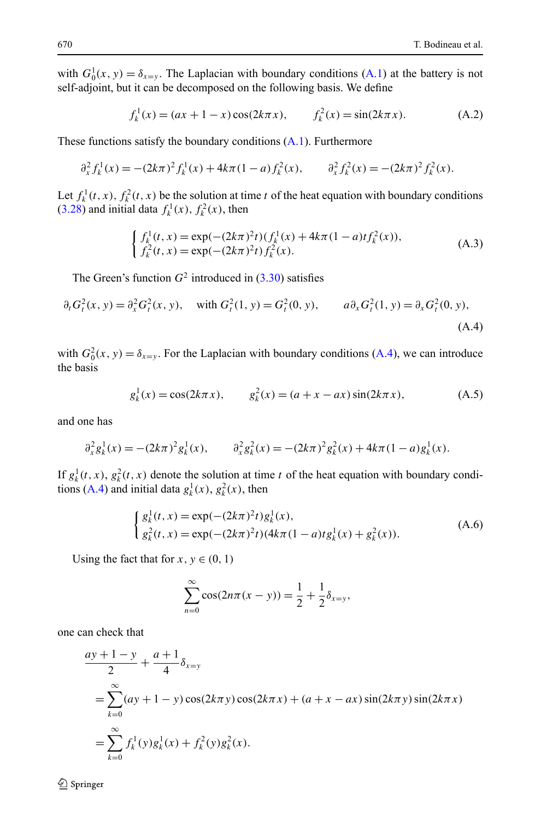with  $G_0^1(x, y) = \delta_{x=y}$ . The Laplacian with boundary conditions [\(A.1](#page-21-0)) at the battery is not self-adjoint, but it can be decomposed on the following basis. We define

$$
f_k^1(x) = (ax + 1 - x)\cos(2k\pi x), \qquad f_k^2(x) = \sin(2k\pi x). \tag{A.2}
$$

These functions satisfy the boundary conditions [\(A.1](#page-21-0)). Furthermore

$$
\partial_x^2 f_k^1(x) = -(2k\pi)^2 f_k^1(x) + 4k\pi (1-a) f_k^2(x), \qquad \partial_x^2 f_k^2(x) = -(2k\pi)^2 f_k^2(x).
$$

Let  $f_k^1(t, x)$ ,  $f_k^2(t, x)$  be the solution at time *t* of the heat equation with boundary conditions  $(3.28)$  $(3.28)$  and initial data  $f_k^1(x)$ ,  $f_k^2(x)$ , then

$$
\begin{cases} f_k^1(t, x) = \exp(-(2k\pi)^2 t) (f_k^1(x) + 4k\pi (1 - a) t f_k^2(x)), \\ f_k^2(t, x) = \exp(-(2k\pi)^2 t) f_k^2(x). \end{cases}
$$
(A.3)

The Green's function  $G^2$  introduced in  $(3.30)$  satisfies

$$
\partial_t G_t^2(x, y) = \partial_x^2 G_t^2(x, y), \quad \text{with } G_t^2(1, y) = G_t^2(0, y), \qquad a \partial_x G_t^2(1, y) = \partial_x G_t^2(0, y),
$$
\n(A.4)

with  $G_0^2(x, y) = \delta_{x=y}$ . For the Laplacian with boundary conditions (A.4), we can introduce the basis

$$
g_k^1(x) = \cos(2k\pi x), \qquad g_k^2(x) = (a + x - ax)\sin(2k\pi x), \tag{A.5}
$$

and one has

$$
\partial_x^2 g_k^1(x) = -(2k\pi)^2 g_k^1(x), \qquad \partial_x^2 g_k^2(x) = -(2k\pi)^2 g_k^2(x) + 4k\pi (1 - a) g_k^1(x).
$$

If  $g_k^1(t, x)$ ,  $g_k^2(t, x)$  denote the solution at time *t* of the heat equation with boundary conditions (A.4) and initial data  $g_k^1(x)$ ,  $g_k^2(x)$ , then

$$
\begin{cases} g_k^1(t, x) = \exp(-(2k\pi)^2 t) g_k^1(x), \\ g_k^2(t, x) = \exp(-(2k\pi)^2 t) (4k\pi (1 - a) t g_k^1(x) + g_k^2(x)). \end{cases}
$$
 (A.6)

Using the fact that for  $x, y \in (0, 1)$ 

$$
\sum_{n=0}^{\infty} \cos(2n\pi (x - y)) = \frac{1}{2} + \frac{1}{2}\delta_{x=y},
$$

one can check that

$$
\frac{ay+1-y}{2} + \frac{a+1}{4} \delta_{x=y}
$$
  
= 
$$
\sum_{k=0}^{\infty} (ay+1-y) \cos(2k\pi y) \cos(2k\pi x) + (a+x - ax) \sin(2k\pi y) \sin(2k\pi x)
$$
  
= 
$$
\sum_{k=0}^{\infty} f_k^1(y) g_k^1(x) + f_k^2(y) g_k^2(x).
$$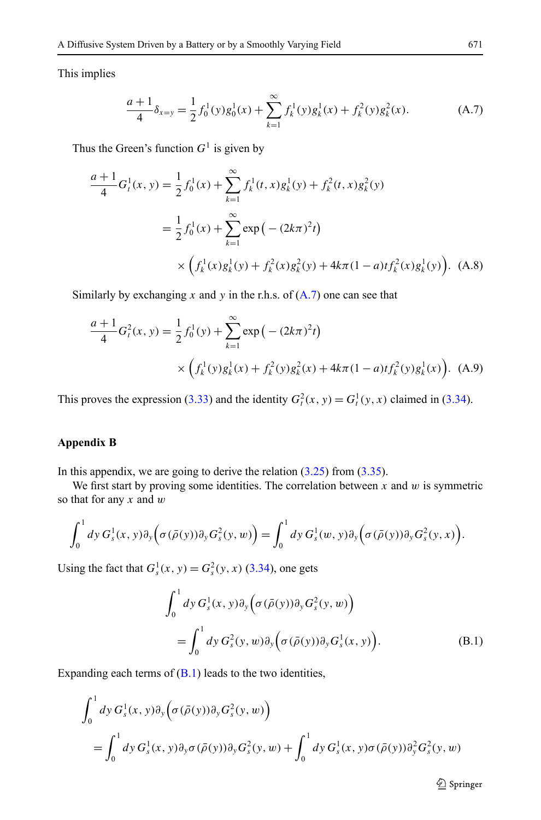<span id="page-23-0"></span>This implies

$$
\frac{a+1}{4}\delta_{x=y} = \frac{1}{2}f_0^1(y)g_0^1(x) + \sum_{k=1}^{\infty} f_k^1(y)g_k^1(x) + f_k^2(y)g_k^2(x).
$$
 (A.7)

Thus the Green's function  $G<sup>1</sup>$  is given by

$$
\frac{a+1}{4}G_t^1(x, y) = \frac{1}{2}f_0^1(x) + \sum_{k=1}^{\infty} f_k^1(t, x)g_k^1(y) + f_k^2(t, x)g_k^2(y)
$$

$$
= \frac{1}{2}f_0^1(x) + \sum_{k=1}^{\infty} \exp(-(2k\pi)^2 t)
$$

$$
\times \left(f_k^1(x)g_k^1(y) + f_k^2(x)g_k^2(y) + 4k\pi(1-a)tf_k^2(x)g_k^1(y)\right). \tag{A.8}
$$

Similarly by exchanging  $x$  and  $y$  in the r.h.s. of  $(A.7)$  one can see that

$$
\frac{a+1}{4}G_t^2(x, y) = \frac{1}{2}f_0^1(y) + \sum_{k=1}^{\infty} \exp\left(-\left(2k\pi\right)^2 t\right)
$$

$$
\times \left(f_k^1(y)g_k^1(x) + f_k^2(y)g_k^2(x) + 4k\pi(1-a)t f_k^2(y)g_k^1(x)\right). \tag{A.9}
$$

This proves the expression [\(3.33\)](#page-11-0) and the identity  $G_t^2(x, y) = G_t^1(y, x)$  claimed in ([3.34](#page-11-0)).

# **Appendix B**

In this appendix, we are going to derive the relation  $(3.25)$  $(3.25)$  $(3.25)$  from  $(3.35)$  $(3.35)$  $(3.35)$ .

We first start by proving some identities. The correlation between  $x$  and  $w$  is symmetric so that for any *x* and *w*

$$
\int_0^1 dy G_s^1(x, y) \partial_y \Big( \sigma(\bar{\rho}(y)) \partial_y G_s^2(y, w) \Big) = \int_0^1 dy G_s^1(w, y) \partial_y \Big( \sigma(\bar{\rho}(y)) \partial_y G_s^2(y, x) \Big).
$$

Using the fact that  $G_s^1(x, y) = G_s^2(y, x)$  ([3.34](#page-11-0)), one gets

$$
\int_0^1 dy G_s^1(x, y) \partial_y \left( \sigma(\bar{\rho}(y)) \partial_y G_s^2(y, w) \right)
$$
  
= 
$$
\int_0^1 dy G_s^2(y, w) \partial_y \left( \sigma(\bar{\rho}(y)) \partial_y G_s^1(x, y) \right).
$$
 (B.1)

Expanding each terms of  $(B.1)$  leads to the two identities,

$$
\int_0^1 dy G_s^1(x, y) \partial_y \Big( \sigma(\bar{\rho}(y)) \partial_y G_s^2(y, w) \Big)
$$
  
= 
$$
\int_0^1 dy G_s^1(x, y) \partial_y \sigma(\bar{\rho}(y)) \partial_y G_s^2(y, w) + \int_0^1 dy G_s^1(x, y) \sigma(\bar{\rho}(y)) \partial_y^2 G_s^2(y, w)
$$

 $\hat{\mathfrak{D}}$  Springer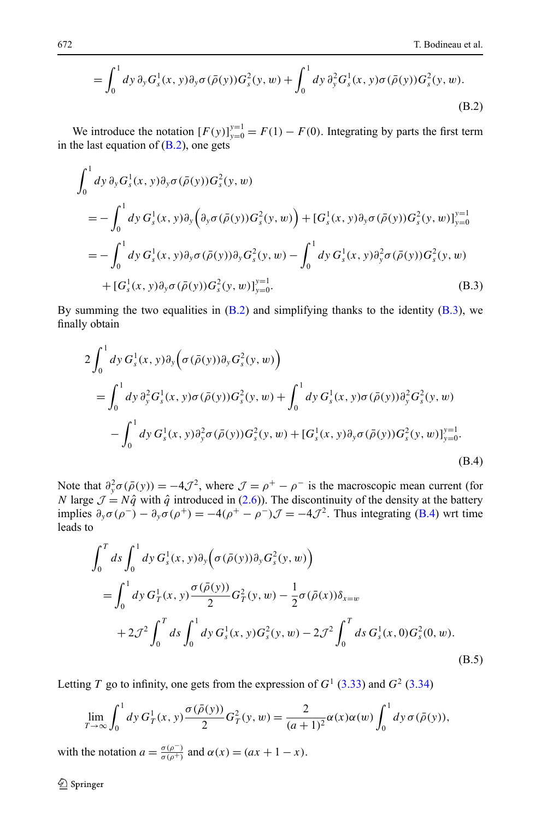<span id="page-24-0"></span>
$$
= \int_0^1 dy \, \partial_y G_s^1(x, y) \partial_y \sigma(\bar{\rho}(y)) G_s^2(y, w) + \int_0^1 dy \, \partial_y^2 G_s^1(x, y) \sigma(\bar{\rho}(y)) G_s^2(y, w).
$$
\n(B.2)

We introduce the notation  $[F(y)]_{y=0}^{y=1} = F(1) - F(0)$ . Integrating by parts the first term in the last equation of  $(B.2)$ , one gets

$$
\int_{0}^{1} dy \, \partial_{y} G_{s}^{1}(x, y) \partial_{y} \sigma(\bar{\rho}(y)) G_{s}^{2}(y, w) \n= -\int_{0}^{1} dy \, G_{s}^{1}(x, y) \partial_{y} (\partial_{y} \sigma(\bar{\rho}(y)) G_{s}^{2}(y, w)) + [G_{s}^{1}(x, y) \partial_{y} \sigma(\bar{\rho}(y)) G_{s}^{2}(y, w)]_{y=0}^{y=1} \n= -\int_{0}^{1} dy \, G_{s}^{1}(x, y) \partial_{y} \sigma(\bar{\rho}(y)) \partial_{y} G_{s}^{2}(y, w) - \int_{0}^{1} dy \, G_{s}^{1}(x, y) \partial_{y}^{2} \sigma(\bar{\rho}(y)) G_{s}^{2}(y, w) \n+ [G_{s}^{1}(x, y) \partial_{y} \sigma(\bar{\rho}(y)) G_{s}^{2}(y, w)]_{y=0}^{y=1}.
$$
\n(B.3)

By summing the two equalities in  $(B.2)$  $(B.2)$  $(B.2)$  and simplifying thanks to the identity  $(B.3)$ , we finally obtain

$$
2\int_0^1 dy G_s^1(x, y)\partial_y(\sigma(\bar{\rho}(y))\partial_y G_s^2(y, w))
$$
  
\n
$$
= \int_0^1 dy \partial_y^2 G_s^1(x, y)\sigma(\bar{\rho}(y))G_s^2(y, w) + \int_0^1 dy G_s^1(x, y)\sigma(\bar{\rho}(y))\partial_y^2 G_s^2(y, w)
$$
  
\n
$$
- \int_0^1 dy G_s^1(x, y)\partial_y^2 \sigma(\bar{\rho}(y))G_s^2(y, w) + [G_s^1(x, y)\partial_y \sigma(\bar{\rho}(y))G_s^2(y, w)]_{y=0}^{y=1}.
$$
\n(B.4)

Note that  $\partial_y^2 \sigma(\bar{\rho}(y)) = -4\mathcal{J}^2$ , where  $\mathcal{J} = \rho^+ - \rho^-$  is the macroscopic mean current (for *N* large  $\mathcal{J} = N\hat{q}$  with  $\hat{q}$  introduced in [\(2.6\)](#page-3-0)). The discontinuity of the density at the battery implies  $\partial_y \sigma(\rho^-) - \partial_y \sigma(\rho^+) = -4(\rho^+ - \rho^-) \mathcal{J} = -4\mathcal{J}^2$ . Thus integrating (B.4) wrt time leads to

$$
\int_0^T ds \int_0^1 dy \, G_s^1(x, y) \partial_y \Big( \sigma(\bar{\rho}(y)) \partial_y G_s^2(y, w) \Big)
$$
  
= 
$$
\int_0^1 dy \, G_T^1(x, y) \frac{\sigma(\bar{\rho}(y))}{2} G_T^2(y, w) - \frac{1}{2} \sigma(\bar{\rho}(x)) \delta_{x=w}
$$
  
+ 
$$
2 \mathcal{J}^2 \int_0^T ds \int_0^1 dy \, G_s^1(x, y) G_s^2(y, w) - 2 \mathcal{J}^2 \int_0^T ds \, G_s^1(x, 0) G_s^2(0, w). \tag{B.5}
$$

Letting *T* go to infinity, one gets from the expression of  $G<sup>1</sup>$  [\(3.33\)](#page-11-0) and  $G<sup>2</sup>$  ([3.34](#page-11-0))

$$
\lim_{T \to \infty} \int_0^1 dy \, G_T^1(x, y) \frac{\sigma(\bar{\rho}(y))}{2} G_T^2(y, w) = \frac{2}{(a+1)^2} \alpha(x) \alpha(w) \int_0^1 dy \, \sigma(\bar{\rho}(y)),
$$

with the notation  $a = \frac{\sigma(\rho^-)}{\sigma(\rho^+)}$  and  $\alpha(x) = (ax + 1 - x)$ .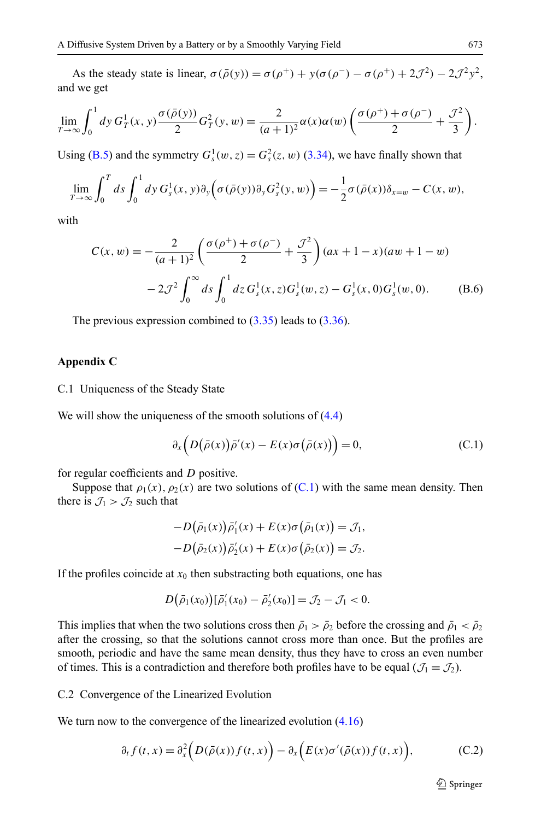<span id="page-25-0"></span>As the steady state is linear,  $\sigma(\bar{\rho}(y)) = \sigma(\rho^+) + y(\sigma(\rho^-) - \sigma(\rho^+) + 2J^2) - 2J^2v^2$ . and we get

$$
\lim_{T \to \infty} \int_0^1 dy \, G_T^1(x, y) \frac{\sigma(\bar{\rho}(y))}{2} G_T^2(y, w) = \frac{2}{(a+1)^2} \alpha(x) \alpha(w) \left( \frac{\sigma(\rho^+) + \sigma(\rho^-)}{2} + \frac{\mathcal{J}^2}{3} \right).
$$

Using ([B.5](#page-24-0)) and the symmetry  $G_s^1(w, z) = G_s^2(z, w)$  ([3.34\)](#page-11-0), we have finally shown that

$$
\lim_{T\to\infty}\int_0^T ds \int_0^1 dy G_s^1(x,y)\partial_y(\sigma(\bar{\rho}(y))\partial_y G_s^2(y,w)) = -\frac{1}{2}\sigma(\bar{\rho}(x))\delta_{x=w} - C(x,w),
$$

with

$$
C(x, w) = -\frac{2}{(a+1)^2} \left( \frac{\sigma(\rho^+) + \sigma(\rho^-)}{2} + \frac{\mathcal{J}^2}{3} \right) (ax+1-x)(aw+1-w)
$$

$$
-2\mathcal{J}^2 \int_0^\infty ds \int_0^1 dz \, G_s^1(x, z) G_s^1(w, z) - G_s^1(x, 0) G_s^1(w, 0). \tag{B.6}
$$

The previous expression combined to ([3.35](#page-11-0)) leads to ([3.36](#page-11-0)).

# **Appendix C**

C.1 Uniqueness of the Steady State

We will show the uniqueness of the smooth solutions of  $(4.4)$  $(4.4)$  $(4.4)$ 

$$
\partial_x \left( D(\bar{\rho}(x)) \bar{\rho}'(x) - E(x) \sigma(\bar{\rho}(x)) \right) = 0, \tag{C.1}
$$

for regular coefficients and *D* positive.

Suppose that  $\rho_1(x)$ ,  $\rho_2(x)$  are two solutions of (C.1) with the same mean density. Then there is  $\mathcal{J}_1 > \mathcal{J}_2$  such that

$$
-D(\bar{\rho}_1(x))\bar{\rho}'_1(x) + E(x)\sigma(\bar{\rho}_1(x)) = \mathcal{J}_1,
$$
  

$$
-D(\bar{\rho}_2(x))\bar{\rho}'_2(x) + E(x)\sigma(\bar{\rho}_2(x)) = \mathcal{J}_2.
$$

If the profiles coincide at  $x_0$  then substracting both equations, one has

$$
D(\bar{\rho}_1(x_0))[\bar{\rho}'_1(x_0)-\bar{\rho}'_2(x_0)]=\mathcal{J}_2-\mathcal{J}_1<0.
$$

This implies that when the two solutions cross then  $\bar{\rho}_1 > \bar{\rho}_2$  before the crossing and  $\bar{\rho}_1 < \bar{\rho}_2$ after the crossing, so that the solutions cannot cross more than once. But the profiles are smooth, periodic and have the same mean density, thus they have to cross an even number of times. This is a contradiction and therefore both profiles have to be equal  $(\mathcal{J}_1 = \mathcal{J}_2)$ .

## C.2 Convergence of the Linearized Evolution

We turn now to the convergence of the linearized evolution  $(4.16)$  $(4.16)$ 

$$
\partial_t f(t, x) = \partial_x^2 \Big( D(\bar{\rho}(x)) f(t, x) \Big) - \partial_x \Big( E(x) \sigma'(\bar{\rho}(x)) f(t, x) \Big), \tag{C.2}
$$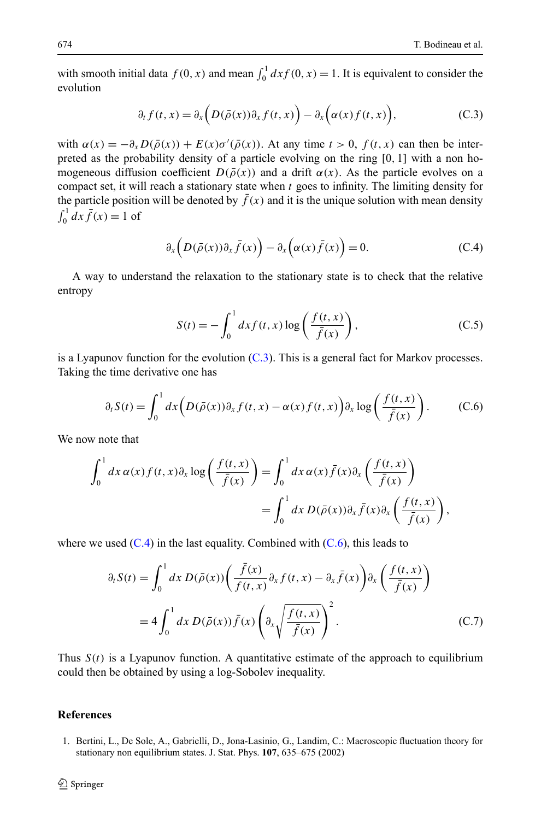<span id="page-26-0"></span>with smooth initial data  $f(0, x)$  and mean  $\int_0^1 dx f(0, x) = 1$ . It is equivalent to consider the evolution

$$
\partial_t f(t, x) = \partial_x \bigg( D(\bar{\rho}(x)) \partial_x f(t, x) \bigg) - \partial_x \bigg( \alpha(x) f(t, x) \bigg), \tag{C.3}
$$

with  $\alpha(x) = -\partial_x D(\bar{\rho}(x)) + E(x)\sigma'(\bar{\rho}(x))$ . At any time  $t > 0$ ,  $f(t, x)$  can then be interpreted as the probability density of a particle evolving on the ring [0*,* 1] with a non homogeneous diffusion coefficient  $D(\bar{\rho}(x))$  and a drift  $\alpha(x)$ . As the particle evolves on a compact set, it will reach a stationary state when *t* goes to infinity. The limiting density for the particle position will be denoted by  $\bar{f}(x)$  and it is the unique solution with mean density  $\int_0^1 dx \bar{f}(x) = 1$  of

$$
\partial_x \left( D(\bar{\rho}(x)) \partial_x \bar{f}(x) \right) - \partial_x \left( \alpha(x) \bar{f}(x) \right) = 0. \tag{C.4}
$$

A way to understand the relaxation to the stationary state is to check that the relative entropy

$$
S(t) = -\int_0^1 dx f(t, x) \log\left(\frac{f(t, x)}{\bar{f}(x)}\right),\tag{C.5}
$$

is a Lyapunov function for the evolution  $(C.3)$ . This is a general fact for Markov processes. Taking the time derivative one has

$$
\partial_t S(t) = \int_0^1 dx \left( D(\bar{\rho}(x)) \partial_x f(t, x) - \alpha(x) f(t, x) \right) \partial_x \log \left( \frac{f(t, x)}{\bar{f}(x)} \right). \tag{C.6}
$$

We now note that

$$
\int_0^1 dx \,\alpha(x) f(t,x) \partial_x \log \left( \frac{f(t,x)}{\bar{f}(x)} \right) = \int_0^1 dx \,\alpha(x) \bar{f}(x) \partial_x \left( \frac{f(t,x)}{\bar{f}(x)} \right)
$$

$$
= \int_0^1 dx \, D(\bar{\rho}(x)) \partial_x \bar{f}(x) \partial_x \left( \frac{f(t,x)}{\bar{f}(x)} \right),
$$

where we used  $(C.4)$  in the last equality. Combined with  $(C.6)$ , this leads to

$$
\partial_t S(t) = \int_0^1 dx \, D(\bar{\rho}(x)) \left( \frac{\bar{f}(x)}{f(t,x)} \partial_x f(t,x) - \partial_x \bar{f}(x) \right) \partial_x \left( \frac{f(t,x)}{\bar{f}(x)} \right)
$$

$$
= 4 \int_0^1 dx \, D(\bar{\rho}(x)) \bar{f}(x) \left( \partial_x \sqrt{\frac{f(t,x)}{\bar{f}(x)}} \right)^2.
$$
(C.7)

Thus  $S(t)$  is a Lyapunov function. A quantitative estimate of the approach to equilibrium could then be obtained by using a log-Sobolev inequality.

#### **References**

1. Bertini, L., De Sole, A., Gabrielli, D., Jona-Lasinio, G., Landim, C.: Macroscopic fluctuation theory for stationary non equilibrium states. J. Stat. Phys. **107**, 635–675 (2002)